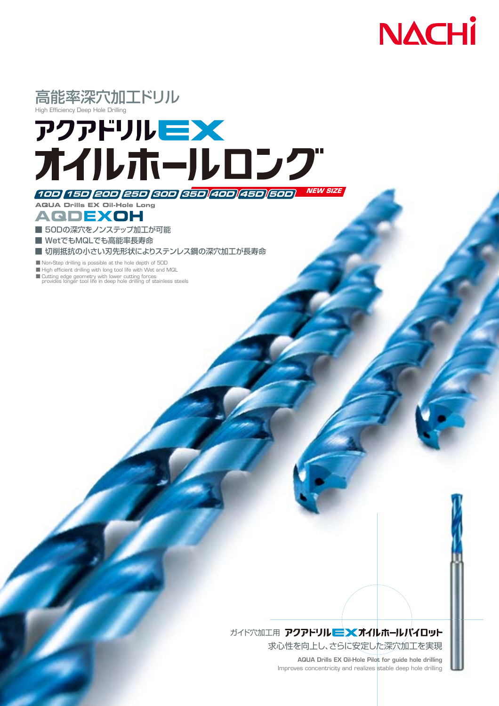



## **NEW SIZE 10D 15D 20D 25D 30D 35D 40D 45D 50D**

**AQUA Drills EX Oil-Hole Long**

**AQDEXOH**

■ 50Dの深穴をノンステップ加工が可能

■ WetでもMQLでも高能率長寿命

■ 切削抵抗の小さい刃先形状によりステンレス鋼の深穴加工が長寿命

■ Non-Step drilling is possible at the hole depth of 50D

■ High efficient drilling with long tool life with Wet and MQL

■ Cutting edge geometry with lower cutting forces provides longer tool life in deep hole drilling of stainless steels

## ガイド穴加工用 アクアドリル ニン(オイルホールパイロット

求心性を向上し、さらに安定した深穴加工を実現

**AQUA Drills EX Oil-Hole Pilot for guide hole drilling** Improves concentricity and realizes stable deep hole drilling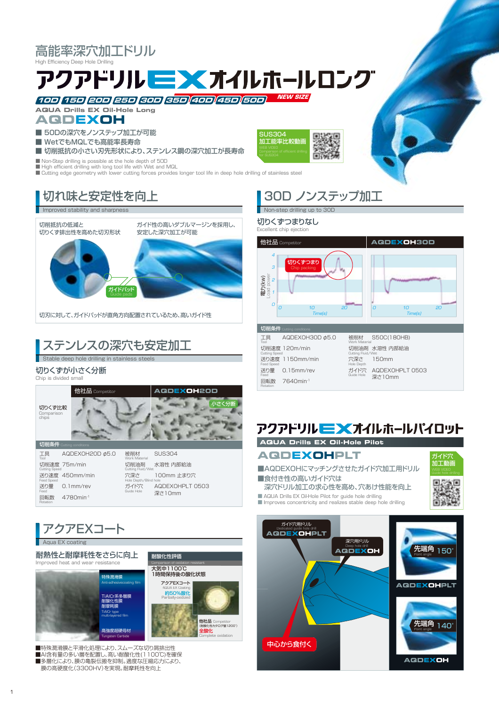高能率深穴加工ドリル

High Efficiency Deep Hole Drilling

# 

**NEW SIZE 10D 15D 20D 25D 30D 35D 40D 45D 50D**

**AQDEXOH AQUA Drills EX Oil-Hole Long**

- 50Dの深穴をノンステップ加工が可能
- WetでもMQLでも高能率長寿命

■ 切削抵抗の小さい刃先形状により、ステンレス鋼の深穴加工が長寿命

■ Non-Step drilling is possible at the hole depth of 50D

■ High efficient drilling with long tool life with Wet and MQL

■ Cutting edge geometry with lower cutting forces provides longer tool life in deep hole drilling of stainless steel

## 切れ味と安定性を向上

#### Improved stability and sharpnes

切削抵抗の低減と 切りくず排出性を高めた切刃形状

ガイド性の高いダブルマージンを採用し、 安定した深穴加工が可能



切刃に対して、ガイドパッドが直角方向配置されているため、高いガイド性

## ステンレスの深穴も安定加工

.<br>Stable deep hole drilling in stainless ste

#### 切りくずが小さく分断

4780min-1



回転数

Feed Rotation







■Al含有量の多い層を配置し、高い耐酸化性(1100℃)を確保 ■多層化により、膜の亀裂伝搬を抑制。適度な圧縮応力により、 膜の高硬度化(3300HV)を実現。耐摩耗性を向上

## 30D ノンステップ加工

#### Non-step drilling up to 30D

切りくずつまりなし

SUS304 **-**<br>亚二能率比較動画



#### **AQUA Drills EX Oil-Hole Pilot**

**AQDEXOHPLT**

■AQDEXOHにマッチングさせたガイド穴加工用ドリル ■食付き性の高いガイド穴は

深穴ドリル加工の求心性を高め、穴あけ性能を向上

■ AQUA Drills EX Oil-Hole Pilot for guide hole drilling<br>■ Improves concentricity and realizes stable deep hole drilling



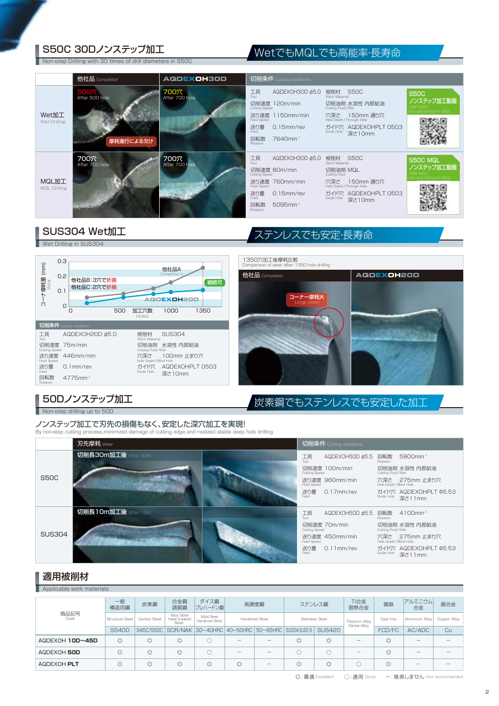## S50C 30Dノンステップ加工 WetでもMQLでも高能率·長寿命

Non-step Drilling with 30 times of drill diameters in S50C

|                                     | 他社品 Competitor                      | AQDEXOH30D             |                                                                                                  | 切削条件 Cutting conditions                                                                           |                                                                      |                                                                                                         |                                                                      |
|-------------------------------------|-------------------------------------|------------------------|--------------------------------------------------------------------------------------------------|---------------------------------------------------------------------------------------------------|----------------------------------------------------------------------|---------------------------------------------------------------------------------------------------------|----------------------------------------------------------------------|
| Wet加工<br>Wet Drilling               | 500穴<br>After 500 hole<br>摩耗進行による欠け | 700穴<br>After 700 hole | 工具<br><b>Tool</b><br><b>Cutting Speed</b><br><b>Feed Speed</b><br>送り量<br>Feed<br>回転数<br>Rotation | AQDEXOH30D ¢5.0<br>切削速度 120m/min<br>送り速度 1150mm/min<br>$0.15$ mm/rev<br>7640min-1                 | Work Material<br>Cutting Fluid/Wet<br>Guide Hole                     | 被削材 S50C<br>切削油剤 水溶性 内部給油<br>穴深さ 150mm 通り穴<br>Hole Depth/Through Hole<br>ガイド穴 AQDEXOHPLT 0503<br>深さ10mm | <b>S50C</b><br>ノンステップ加工動画<br>WEB VIDEO<br>Non step drilling for S50C |
| <b>MQL加工</b><br><b>MQL Drilling</b> | 700穴<br>After 700 hole              | 700穴<br>After 700 hole | 工具<br><b>Tool</b><br>Cutting Speed<br><b>Feed Speed</b><br>送り量<br>Feed<br>回転数<br><b>Rotation</b> | AQDEXOH30D $\phi$ 5.0<br>切削速度 80m/min<br>送り速度 760mm/min<br>0.15mm/rev<br>$5095$ min <sup>-1</sup> | 被削材 S50C<br>Work Material<br>切削油剤 MQL<br>Cutting Fluid<br>Guide Hole | 穴深さ 150mm 通り穴<br>Hole Depth/Through Hole<br>ガイド穴 AQDEXOHPLT 0503<br>深さ10mm                              | S50C MQL<br>ノンステップ加工動画<br>WEB VIDEO<br>Non step drilling for S50C    |

### SUS304 Wet加工 インファイン ステンレスでも安定・長寿命

Wet Drilling in SUS304





50Dノンステップ加工 トランスコンコントランス 炭素鋼でもステンレスでも安定した加工

Non-step drilling up to 50D

ノンステップ加工で刃先の損傷もなく、安定した深穴加工を実現! By non-step cutting process,minimized damage of cutting edge,and realized stable deep hole drilling

|               | 刃先摩耗 Wear           |               | 切削条件 Cutting conditions |                        |                                 |
|---------------|---------------------|---------------|-------------------------|------------------------|---------------------------------|
|               | 切削長30m加工後 After 30m | 工具<br>Inn     | AQDEXOH50D $\phi$ 5.5   | 回転数<br><b>Rotation</b> | 5800min <sup>-1</sup>           |
|               |                     | Cutting Speed | 切削速度 100m/min           | Cutting Fluid/Wet      | 切削油剤 水溶性 内部給油                   |
| <b>S50C</b>   |                     | Feed Speed    | 送り速度 960mm/min          | Hole Depth/Blind Hole  | 穴深さ 275mm 止まり穴                  |
|               |                     | 送り量<br>Feed   | $0.17$ mm/rev           | Guide Hole             | ガイド穴 AQDEXOHPLT Φ5.53<br>深さ11mm |
|               | 切削長10m加工後 After 10m | 工具<br>Tool    | AQDEXOH50D $\phi$ 5.5   | 回転数<br><b>Rotation</b> | $4100$ min <sup>-1</sup>        |
|               |                     | Cutting Speed | 切削速度 70m/min            | Cutting Fluid/Wet      | 切削油剤 水溶性 内部給油                   |
| <b>SUS304</b> |                     | Feed Speed    | 送り速度 450mm/min          | Hole Depth/Blind Hole  | 穴深さ 275mm 止まり穴                  |
|               |                     | 送り量<br>Feed   | $0.11$ mm/rev           | Guide Hole             | ガイド穴 AQDEXOHPLT Φ5.53<br>深さ11mm |

#### 適用被削材

Applicable work material

|                 | 一般<br>構造用鋼      | 炭素鋼            | 合金鋼<br>調質鋼                           | ダイス鋼<br>プレハードン鋼              | 高硬度鋼                     |                                          | ステンレス鋼                                                     |                                       | Ti合金<br>耐熱合金 | 鋳鉄             | アルミニウム<br>合金 | 銅合金 |
|-----------------|-----------------|----------------|--------------------------------------|------------------------------|--------------------------|------------------------------------------|------------------------------------------------------------|---------------------------------------|--------------|----------------|--------------|-----|
| 商品記号<br>Code    | Structual Steel | Carbon Steel   | Alloy Steel<br>Heat treated<br>Steel | Mold Steel<br>Hardened Steel |                          | <b>Stainless Steel</b><br>Hardened Steel |                                                            | <b>Titanium Allov</b><br>Nickel Alloy | Cast Iron    | Aluminum Allov | Copper Alloy |     |
|                 | <b>SS400</b>    |                |                                      |                              |                          |                                          | S45C/S50C SCR/NAK 30~40HRC 40~50HRC 50~65HRC SUS304/SUS316 | <b>SUS420</b>                         |              | FCD/FC         | AC/ADC       | Cu  |
| AQDEXOH 10D~45D | $\circledcirc$  | O              | $\circledcirc$                       |                              | $\overline{\phantom{a}}$ | $\overline{\phantom{a}}$                 | $\circledcirc$                                             | $\circledcirc$                        |              | $\circledcirc$ |              |     |
| AQDEXOH 50D     | $\circledcirc$  | $\circledcirc$ | $\circledcirc$                       |                              | $\overline{\phantom{a}}$ | -                                        |                                                            |                                       | -            | $\circledcirc$ |              |     |
| AQDEXOH PLT     | $\circledcirc$  | $\circledcirc$ | $\circledcirc$                       | $\circledcirc$               | $\circledcirc$           | $\overline{\phantom{a}}$                 | $\circledcirc$                                             | $\circledcirc$                        |              | $\circ$        |              |     |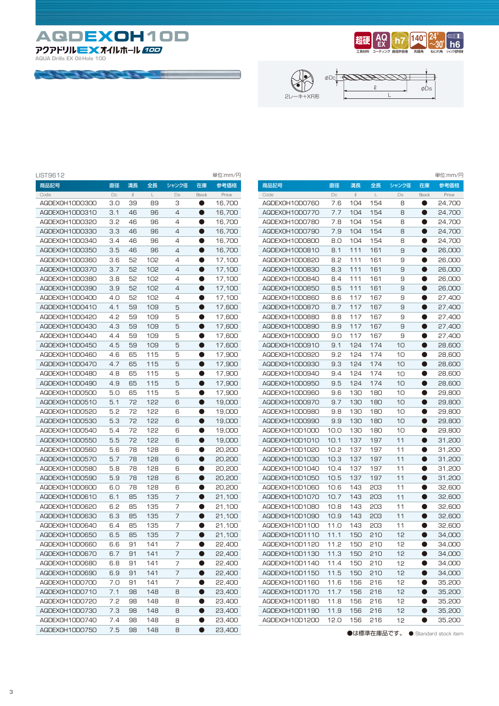**AQDEXOH10D 10D**

*CONTRACTOR COMMANDS* 

**AQUA Drills EX Oil-Hole 10D**







| LIST9612       |        |              |     |       |           | 単位:mm/円 |
|----------------|--------|--------------|-----|-------|-----------|---------|
| 商品記号           | 直径     | 溝長           | 全長  | シャンク径 | 在庫        | 参考価格    |
| Code           | $\Box$ | $\mathcal Q$ | L   | Ds    | Stock     | Price   |
| AQDEXOH10D0300 | 3.0    | 39           | 89  | З     | $\bullet$ | 16,700  |
| AQDEX0H10D0310 | 3.1    | 46           | 96  | 4     | $\bullet$ | 16,700  |
| AQDEXOH10D0320 | 3.2    | 46           | 96  | 4     | O         | 16,700  |
| AQDEXOH10D0330 | 3.3    | 46           | 96  | 4     | 0         | 16,700  |
| AQDEXOH10D0340 | 3.4    | 46           | 96  | 4     | $\bullet$ | 16,700  |
| AQDEXOH10D0350 | 3.5    | 46           | 96  | 4     | $\bullet$ | 16,700  |
| AQDEXOH10D0360 | 3.6    | 52           | 102 | 4     | $\bullet$ | 17,100  |
| AQDEXOH10D0370 | 3.7    | 52           | 102 | 4     | $\bullet$ | 17,100  |
| AQDEXOH10D0380 | 3.8    | 52           | 102 | 4     | O         | 17,100  |
| AQDEXOH10D0390 | 3.9    | 52           | 102 | 4     | O         | 17,100  |
| AQDEXOH10D0400 | 4.O    | 52           | 102 | 4     | $\bullet$ | 17,100  |
| AQDEXOH10D0410 | 4.1    | 59           | 109 | 5     | 0         | 17,600  |
| AQDEXOH10D0420 | 4.2    | 59           | 109 | 5     | O         | 17,600  |
| AQDEXOH10D0430 | 4.3    | 59           | 109 | 5     | O         | 17,600  |
| AQDEXOH10D0440 | 4.4    | 59           | 109 | 5     | $\bullet$ | 17,600  |
| AQDEXOH10D0450 | 4.5    | 59           | 109 | 5     | $\bullet$ | 17,600  |
| AQDEXOH10D0460 | 4.6    | 65           | 115 | 5     | 0         | 17,900  |
| AQDEXOH10D0470 | 4.7    | 65           | 115 | 5     | 0         | 17,900  |
| AQDEXOH10D0480 | 4.8    | 65           | 115 | 5     | $\bullet$ | 17,900  |
| AQDEXOH10D0490 | 4.9    | 65           | 115 | 5     | $\bullet$ | 17,900  |
| AQDEXOH10D0500 | 5.0    | 65           | 115 | 5     | O         | 17,900  |
| AQDEX0H10D0510 | 5.1    | 72           | 122 | 6     | O         | 19,000  |
| AQDEXOH10D0520 | 5.2    | 72           | 122 | 6     | $\bullet$ | 19,000  |
| AQDEXOH10D0530 | 5.3    | 72           | 122 | 6     | $\bullet$ | 19,000  |
| AQDEXOH10D0540 | 5.4    | 72           | 122 | 6     | $\bullet$ | 19,000  |
| AQDEXOH10D0550 | 5.5    | 72           | 122 | 6     | 0         | 19,000  |
| AQDEXOH10D0560 | 5.6    | 78           | 128 | 6     | 0         | 20,200  |
| AQDEXOH10D0570 | 5.7    | 78           | 128 | 6     | $\bullet$ | 20,200  |
| AQDEXOH10D0580 | 5.8    | 78           | 128 | 6     | o         | 20,200  |
| AQDEXOH10D0590 | 5.9    | 78           | 128 | 6     | 0         | 20,200  |
| AQDEXOH10D0600 | 6.0    | 78           | 128 | 6     | O         | 20,200  |
| AQDEXOH10D0610 | 6.1    | 85           | 135 | 7     | $\bullet$ | 21,100  |
| AQDEXOH10D0620 | 6.2    | 85           | 135 | 7     | $\bullet$ | 21,100  |
| AQDEXOH10D0630 | 6.3    | 85           | 135 | 7     | $\bullet$ | 21,100  |
| AQDEXOH10D0640 | 6.4    | 85           | 135 | 7     | 0         | 21,100  |
| AQDEXOH10D0650 | 6.5    | 85           | 135 | 7     | O         | 21,100  |
| AQDEX0H10D0660 | 6.6    | 91           | 141 | 7     | 0         | 22,400  |
| AQDEXOH10D0670 | 6.7    | 91           | 141 | 7     |           | 22,400  |
| AQDEX0H10D0680 | 6.8    | 91           | 141 | 7     |           | 22,400  |
| AQDEX0H10D0690 | 6.9    | 91           | 141 | 7     |           | 22,400  |
| AQDEXOH10D0700 | 7.0    | 91           | 141 | 7     | $\bullet$ | 22,400  |
| AQDEXOH10D0710 | 7.1    | 98           | 148 | 8     | $\bullet$ | 23,400  |
| AQDEXOH10D0720 | 7.2    | 98           | 148 | 8     | 0         | 23,400  |
| AQDEXOH10D0730 | 7.3    | 98           | 148 | 8     |           | 23,400  |
| AQDEXOH10D0740 | 7.4    | 98           | 148 | 8     |           | 23,400  |
| AQDEX0H10D0750 | 7.5    | 98           | 148 | 8     | 0         | 23,400  |

|                |        |        |     |       |           | 単位:mm/円 |
|----------------|--------|--------|-----|-------|-----------|---------|
| 商品記号           | 直径     | 溝長     | 全長  | シャンク径 | 在庫        | 参考価格    |
| Code           | $\Box$ | $\ell$ | L   | Ds    | Stock     | Price   |
| AQDEXOH10D0760 | 7.6    | 104    | 154 | 8     | $\bullet$ | 24,700  |
| AQDEXOH10D0770 | 7.7    | 104    | 154 | 8     | $\bullet$ | 24,700  |
| AQDEXOH10D0780 | 7.8    | 104    | 154 | 8     |           | 24,700  |
| AQDEXOH10D0790 | 7.9    | 104    | 154 | 8     | $\bullet$ | 24,700  |
| AQDEXOH10D0800 | 8.0    | 104    | 154 | 8     | $\bullet$ | 24,700  |
| AQDEXOH10D0810 | 8.1    | 111    | 161 | 9     | $\bullet$ | 26,000  |
| AQDEXOH10D0820 | 8.2    | 111    | 161 | 9     | 0         | 26,000  |
| AQDEX0H10D0830 | 8.3    | 111    | 161 | 9     | $\bullet$ | 26,000  |
| AQDEXOH10D0840 | 8.4    | 111    | 161 | 9     | $\bullet$ | 26,000  |
| AQDEXOH10D0850 | 8.5    | 111    | 161 | 9     | $\bullet$ | 26,000  |
| AQDEXOH10D0860 | 8.6    | 117    | 167 | 9     |           | 27,400  |
| AQDEXOH10D0870 | 8.7    | 117    | 167 | 9     | œ         | 27,400  |
| AQDEXOH10D0880 | 8.8    | 117    | 167 | 9     |           | 27,400  |
| AQDEXOH10D0890 | 8.9    | 117    | 167 | 9     | D         | 27,400  |
| AQDEXOH10D0900 | 9.0    | 117    | 167 | 9     | $\bullet$ | 27,400  |
| AQDEX0H10D0910 | 9.1    | 124    | 174 | 10    | O         | 28,600  |
| AQDEXOH10D0920 | 9.2    | 124    | 174 | 10    | $\bullet$ | 28,600  |
| AQDEXOH10D0930 | 9.3    | 124    | 174 | 10    | $\bullet$ | 28,600  |
| AQDEXOH10D0940 | 9.4    | 124    | 174 | 10    | 0         | 28,600  |
| AQDEXOH10D0950 | 9.5    | 124    | 174 | 10    |           | 28,600  |
| AQDEXOH10D0960 | 9.6    | 130    | 180 | 10    | O         | 29,800  |
| AQDEXOH10D0970 | 9.7    | 130    | 180 | 10    | O         | 29,800  |
| AQDEXOH10D0980 | 9.8    | 130    | 180 | 10    | D         | 29,800  |
| AQDEXOH10D0990 | 9.9    | 130    | 180 | 10    | O         | 29,800  |
| AQDEX0H10D1000 | 10.0   | 130    | 180 | 10    | 0         | 29,800  |
| AQDEXOH1OD1010 | 10.1   | 137    | 197 | 11    | $\bullet$ | 31,200  |
| AQDEX0H10D1020 | 10.2   | 137    | 197 | 11    | 0         | 31,200  |
| AQDEX0H10D1030 | 10.3   | 137    | 197 | 11    | $\bullet$ | 31,200  |
| AQDEXOH1OD1040 | 10.4   | 137    | 197 | 11    |           | 31,200  |
| AQDEX0H10D1050 | 10.5   | 137    | 197 | 11    | $\bullet$ | 31,200  |
| AQDEXOH10D1060 | 10.6   | 143    | 203 | 11    | $\bullet$ | 32,600  |
| AQDEX0H10D1070 | 10.7   | 143    | 203 | 11    | D         | 32,600  |
| AQDEX0H10D1080 | 10.8   | 143    | 203 | 11    |           | 32,600  |
| AQDEX0H10D1090 | 10.9   | 143    | 203 | 11    | $\bullet$ | 32,600  |
| AQDEXOH1OD1100 | 11.0   | 143    | 203 | 11    | $\bullet$ | 32,600  |
| AQDEX0H10D1110 | 11.1   | 150    | 210 | 12    | $\bullet$ | 34,000  |
| AQDEXOH1OD1120 | 11.2   | 150    | 210 | 12    |           | 34,000  |
| AQDEX0H10D1130 | 11.3   | 150    | 210 | 12    |           | 34,000  |
| AQDEXOH1OD1140 | 11.4   | 150    | 210 | 12    |           | 34,000  |
| AQDEXOH1OD1150 | 11.5   | 150    | 210 | 12    |           | 34,000  |
| AGDEXOH1OD1160 | 11.6   | 156    | 216 | 12    |           | 35,200  |
| AQDEX0H10D1170 | 11.7   | 156    | 216 | 12    |           | 35,200  |
| AQDEXOH1OD1180 | 11.8   | 156    | 216 | 12    | $\bullet$ | 35,200  |
| AQDEXOH1OD1190 | 11.9   | 156    | 216 | 12    | $\bullet$ |         |
| AQDEX0H10D1200 | 12.0   | 156    | 216 |       | 0         | 35,200  |
|                |        |        |     | 12    |           | 35,200  |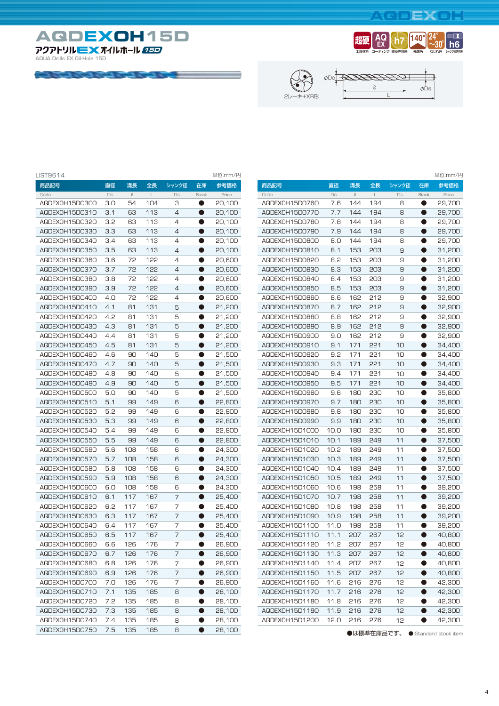#### $\left[\mathbf{e}\right]$   $\mathbf{E}$   $\mathbf{X}$   $\mathbf{e}$   $\mathbf{I}$   $\mathbf{I}$



**COMPANY AND INTERNATIONAL PROPERTY** 







| LIST9614       |        |               |                             |                |           | 単位:mm/円 |                |        |              |             |        |           | 単位:mm/円 |
|----------------|--------|---------------|-----------------------------|----------------|-----------|---------|----------------|--------|--------------|-------------|--------|-----------|---------|
| 商品記号           | 直径     | 溝長            | 全長                          | シャンク径          | 在庫        | 参考価格    | 商品記号           | 直径     | 溝長           | 全長          | シャンク径  | 在庫        | 参考価格    |
| Code           | $\Box$ | $\mathcal{Q}$ | $\mathsf{L}% _{\mathsf{L}}$ | Ds             | Stock     | Price   | Code           | $\Box$ | $\mathcal Q$ | $\mathsf L$ | $\Box$ | Stock     | Price   |
| AQDEX0H15D0300 | 3.0    | 54            | 104                         | З              | $\bullet$ | 20,100  | AQDEX0H15D0760 | 7.6    | 144          | 194         | 8      | $\bullet$ | 29,700  |
| AQDEX0H15D0310 | 3.1    | 63            | 113                         | 4              | $\bullet$ | 20,100  | AQDEX0H15D0770 | 7.7    | 144          | 194         | 8      | 0         | 29,700  |
| AQDEX0H15D0320 | 3.2    | 63            | 113                         | 4              | 0         | 20.100  | AQDEX0H15D0780 | 7.8    | 144          | 194         | 8      | 0         | 29,700  |
| AQDEX0H15D0330 | 3.3    | 63            | 113                         | 4              | $\bullet$ | 20,100  | AQDEX0H15D0790 | 7.9    | 144          | 194         | 8      | $\bullet$ | 29,700  |
| AQDEX0H15D0340 | 3.4    | 63            | 113                         | 4              | $\bullet$ | 20,100  | AQDEX0H15D0800 | 8.0    | 144          | 194         | 8      | $\bullet$ | 29,700  |
| AQDEX0H15D0350 | 3.5    | 63            | 113                         | 4              | $\bullet$ | 20,100  | AQDEX0H15D0810 | 8.1    | 153          | 203         | 9      | $\bullet$ | 31,200  |
| AQDEX0H15D0360 | 3.6    | 72            | 122                         | 4              | O         | 20,600  | AQDEX0H15D0820 | 8.2    | 153          | 203         | 9      | O         | 31,200  |
| AQDEX0H15D0370 | 3.7    | 72            | 122                         | 4              |           | 20,600  | AQDEX0H15D0830 | 8.3    | 153          | 203         | 9      |           | 31,200  |
| AQDEX0H15D0380 | 3.8    | 72            | 122                         | 4              | O         | 20,600  | AQDEX0H15D0840 | 8.4    | 153          | 203         | 9      | O         | 31,200  |
| AQDEX0H15D0390 | 3.9    | 72            | 122                         | $\overline{4}$ | ●         | 20,600  | AQDEX0H15D0850 | 8.5    | 153          | 203         | 9      | $\bullet$ | 31,200  |
| AQDEX0H15D0400 | 4.0    | 72            | 122                         | 4              | ●         | 20,600  | AQDEX0H15D0860 | 8.6    | 162          | 212         | 9      | 0         | 32,900  |
| AQDEX0H15D0410 | 4.1    | 81            | 131                         | 5              | $\bullet$ | 21,200  | AQDEX0H15D0870 | 8.7    | 162          | 212         | 9      | $\bullet$ | 32,900  |
| AQDEX0H15D0420 | 4.2    | 81            | 131                         | 5              | $\bullet$ | 21,200  | AQDEX0H15D0880 | 8.8    | 162          | 212         | 9      | $\bullet$ | 32,900  |
| AQDEX0H15D0430 | 4.3    | 81            | 131                         | 5              | $\bullet$ | 21,200  | AQDEX0H15D0890 | 8.9    | 162          | 212         | 9      | $\bullet$ | 32,900  |
| AQDEX0H15D0440 | 4.4    | 81            | 131                         | 5              | $\bullet$ | 21,200  | AQDEX0H15D0900 | 9.0    | 162          | 212         | 9      | $\bullet$ | 32,900  |
| AQDEX0H15D0450 | 4.5    | 81            | 131                         | 5              | 0         | 21,200  | AQDEX0H15D0910 | 9.1    | 171          | 221         | 10     | 0         | 34,400  |
| AQDEXOH15D0460 | 4.6    | 90            | 140                         | 5              | O         | 21,500  | AQDEX0H15D0920 | 9.2    | 171          | 221         | 10     | O         | 34.400  |
| AQDEX0H15D0470 | 4.7    | 90            | 140                         | 5              | $\bullet$ | 21,500  | AQDEX0H15D0930 | 9.3    | 171          | 221         | 10     | 0         | 34,400  |
| AQDEX0H15D0480 | 4.8    | 90            | 140                         | 5              | $\bullet$ | 21,500  | AQDEX0H15D0940 | 9.4    | 171          | 221         | 10     | 0         | 34,400  |
| AQDEX0H15D0490 | 4.9    | 90            | 140                         | 5              | $\bullet$ | 21,500  | AQDEX0H15D0950 | 9.5    | 171          | 221         | 10     | 0         | 34,400  |
| AQDEX0H15D0500 | 5.0    | 90            | 140                         | 5              | $\bullet$ | 21,500  | AQDEX0H15D0960 | 9.6    | 180          | 230         | 10     | 0         | 35,800  |
| AQDEX0H15D0510 | 5.1    | 99            | 149                         | 6              | $\bullet$ | 22,800  | AQDEX0H15D0970 | 9.7    | 180          | 230         | 10     | $\bullet$ | 35,800  |
| AQDEX0H15D0520 | 5.2    | 99            | 149                         | 6              | $\bullet$ | 22,800  | AQDEX0H15D0980 | 9.8    | 180          | 230         | 10     | $\bullet$ | 35,800  |
| AQDEX0H15D0530 | 5.3    | 99            | 149                         | 6              | 0         | 22,800  | AQDEX0H15D0990 | 9.9    | 180          | 230         | 10     | $\bullet$ | 35,800  |
| AQDEX0H15D0540 | 5.4    | 99            | 149                         | 6              | O         | 22,800  | AQDEX0H15D1000 | 10.0   | 180          | 230         | 10     | O         | 35,800  |
| AQDEX0H15D0550 | 5.5    | 99            | 149                         | 6              | O         | 22,800  | AQDEX0H15D1010 | 10.1   | 189          | 249         | 11     | O         | 37,500  |
| AQDEX0H15D0560 | 5.6    | 108           | 158                         | 6              | $\bullet$ | 24,300  | AQDEX0H15D1020 | 10.2   | 189          | 249         | 11     | 0         | 37,500  |
| AQDEX0H15D0570 | 5.7    | 108           | 158                         | 6              | ●         | 24,300  | AQDEX0H15D1030 | 10.3   | 189          | 249         | 11     | 0         | 37,500  |
| AQDEX0H15D0580 | 5.8    | 108           | 158                         | 6              | $\bullet$ | 24,300  | AQDEX0H15D1040 | 10.4   | 189          | 249         | 11     | $\bullet$ | 37,500  |
| AQDEXOH15D0590 | 5.9    | 108           | 158                         | 6              | $\bullet$ | 24,300  | AQDEX0H15D1050 | 10.5   | 189          | 249         | 11     | 0         | 37,500  |
| AQDEX0H15D0600 | 6.0    | 108           | 158                         | 6              | $\bullet$ | 24,300  | AQDEX0H15D1060 | 10.6   | 198          | 258         | 11     | $\bullet$ | 39,200  |
| AQDEX0H15D0610 | 6.1    | 117           | 167                         | 7              | $\bullet$ | 25,400  | AQDEX0H15D1070 | 10.7   | 198          | 258         | 11     | $\bullet$ | 39,200  |
| AQDEX0H15D0620 | 6.2    | 117           | 167                         | 7              | $\bullet$ | 25,400  | AQDEX0H15D1080 | 10.8   | 198          | 258         | 11     | 0         | 39,200  |
| AQDEX0H15D0630 | 6.3    | 117           | 167                         | 7              | O         | 25,400  | AQDEX0H15D1090 | 10.9   | 198          | 258         | 11     | 0         | 39,200  |
| AQDEX0H15D0640 | 6.4    | 117           | 167                         | 7              | Q         | 25,400  | AQDEX0H15D1100 | 11.0   | 198          | 258         | 11     | O         | 39,200  |
| AQDEX0H15D0650 | 6.5    | 117           | 167                         | 7              | $\bullet$ | 25,400  | AQDEX0H15D1110 | 11.1   | 207          | 267         | 12     | 0         | 40,800  |
| AQDEX0H15D0660 | 6.6    | 126           | 176                         | 7              | ●         | 26,900  | AQDEX0H15D1120 | 11.2   | 207          | 267         | 12     | ●         | 40,800  |
| AQDEX0H15D0670 | 6.7    | 126           | 176                         | 7              | $\bullet$ | 26,900  | AQDEXOH15D1130 | 11.3   | 207          | 267         | 12     | $\bullet$ | 40,800  |
| AQDEXOH15D0680 | 6.8    | 126           | 176                         | 7              | 0         | 26,900  | AQDEX0H15D1140 | 11.4   | 207          | 267         | 12     | $\bullet$ | 40,800  |
| AQDEX0H15D0690 | 6.9    | 126           | 176                         | $\overline{7}$ | $\bullet$ | 26,900  | AQDEX0H15D1150 | 11.5   | 207          | 267         | 12     | $\bullet$ | 40,800  |
| AQDEX0H15D0700 | 7.0    | 126           | 176                         | 7              | $\bullet$ | 26,900  | AQDEXOH15D1160 | 11.6   | 216          | 276         | 12     | $\bullet$ | 42,300  |
| AQDEX0H15D0710 | 7.1    | 135           | 185                         | 8              | 0         | 28,100  | AQDEX0H15D1170 | 11.7   | 216          | 276         | 12     | $\bullet$ | 42,300  |
| AQDEX0H15D0720 | 7.2    | 135           | 185                         | 8              |           | 28,100  | AQDEXOH15D118O | 11.8   | 216          | 276         | 12     | $\bullet$ | 42,300  |
| AQDEX0H15D0730 | 7.3    | 135           | 185                         | 8              | $\bullet$ | 28,100  | AQDEX0H15D1190 | 11.9   | 216          | 276         | 12     | 0         | 42,300  |
| AQDEX0H15D0740 | 7.4    | 135           | 185                         | 8              | $\bullet$ | 28,100  | AQDEX0H15D1200 | 12.0   | 216          | 276         | 12     | $\bullet$ | 42,300  |
| AQDEX0H15D0750 | 7.5    | 135           | 185                         | 8              | $\bullet$ | 28,100  |                |        |              | ▲け堙淮左庄ロズオ   |        |           |         |

| 商品記号           | 直径   | 溝長           | 全長  | シャンク径 | 在庫        | 参考価格   |
|----------------|------|--------------|-----|-------|-----------|--------|
| Code           | Dc   | $\mathcal Q$ | L   | Ds    | Stock     | Price  |
| AQDEX0H15D0760 | 7.6  | 144          | 194 | 8     |           | 29,700 |
| AQDEX0H15D0770 | 7.7  | 144          | 194 | 8     | ۸         | 29,700 |
| AQDEX0H15D0780 | 7.8  | 144          | 194 | 8     | 0         | 29,700 |
| AQDEX0H15D0790 | 7.9  | 144          | 194 | 8     | $\bullet$ | 29,700 |
| AQDEXOH15D0800 | 8.0  | 144          | 194 | 8     | $\bullet$ | 29,700 |
| AQDEXOH15D0810 | 8.1  | 153          | 203 | 9     | O         | 31,200 |
| AQDEX0H15D0820 | 8.2  | 153          | 203 | 9     |           | 31,200 |
| AQDEX0H15D0830 | 8.3  | 153          | 203 | 9     | O         | 31,200 |
| AQDEXOH15DO840 | 8.4  | 153          | 203 | 9     | O         | 31,200 |
| AQDEX0H15D0850 | 8.5  | 153          | 203 | 9     | D         | 31,200 |
| AQDEX0H15D0860 | 8.6  | 162          | 212 | 9     | D         | 32,900 |
| AQDEXOH15DO870 | 8.7  | 162          | 212 | 9     | O         | 32,900 |
| AQDEX0H15D0880 | 8.8  | 162          | 212 | 9     | $\bullet$ | 32,900 |
| AQDEX0H15D0890 | 8.9  | 162          | 212 | 9     | $\bullet$ | 32,900 |
| AQDEX0H15D0900 | 9.0  | 162          | 212 | 9     | O         | 32,900 |
| AQDEX0H15D0910 | 9.1  | 171          | 221 | 10    |           | 34,400 |
| AQDEX0H15D0920 | 9.2  | 171          | 221 | 10    | O         | 34,400 |
| AQDEX0H15D0930 | 9.3  | 171          | 221 | 10    | D         | 34,400 |
| AQDEX0H15D0940 | 9.4  | 171          | 221 | 10    | D         | 34,400 |
| AQDEX0H15D0950 | 9.5  | 171          | 221 | 10    | O         | 34,400 |
| AQDEX0H15D0960 | 9.6  | 180          | 230 | 10    | O         | 35,800 |
| AQDEXOH15DO970 | 9.7  | 180          | 230 | 10    | ●         | 35,800 |
| AQDEX0H15D0980 | 9.8  | 180          | 230 | 10    | 0         | 35,800 |
| AQDEX0H15D0990 | 9.9  | 180          | 230 | 10    | D         | 35,800 |
| AQDEX0H15D1000 | 10.0 | 180          | 230 | 10    | O         | 35,800 |
| AQDEX0H15D1010 | 10.1 | 189          | 249 | 11    | O         | 37,500 |
| AQDEX0H15D1020 | 10.2 | 189          | 249 | 11    | D         | 37,500 |
| AQDEX0H15D1030 | 10.3 | 189          | 249 | 11    | D         | 37,500 |
| AQDEX0H15D1040 | 10.4 | 189          | 249 | 11    | O         | 37,500 |
| AQDEX0H15D1050 | 10.5 | 189          | 249 | 11    | $\bullet$ | 37,500 |
| AQDEX0H15D1060 | 10.6 | 198          | 258 | 11    | $\bullet$ | 39,200 |
| AQDEX0H15D1070 | 10.7 | 198          | 258 | 11    | $\bullet$ | 39,200 |
| AQDEX0H15D1080 | 10.8 | 198          | 258 | 11    | O         | 39,200 |
| AQDEX0H15D1090 | 10.9 | 198          | 258 | 11    | O         | 39,200 |
| AQDEX0H15D1100 | 11.0 | 198          | 258 | 11    | 0         | 39,200 |
| AQDEX0H15D1110 | 11.1 | 207          | 267 | 12    | D         | 40,800 |
| AQDEX0H15D1120 | 11.2 | 207          | 267 | 12    | O         | 40,800 |
| AQDEX0H15D1130 | 11.3 | 207          | 267 | 12    |           | 40,800 |
| AQDEXOH15D1140 | 11.4 | 207          | 267 | 12    | $\bullet$ | 40,800 |
| AQDEX0H15D1150 | 11.5 | 207          | 267 | 12    | $\bullet$ | 40,800 |
| AQDEXOH15D1160 | 11.6 | 216          | 276 | 12    | D         | 42,300 |
| AQDEX0H15D1170 | 11.7 | 216          | 276 | 12    |           | 42,300 |
| AQDEXOH15D1180 | 11.8 | 216          | 276 | 12    | U         | 42,300 |
| AQDEX0H15D1190 | 11.9 | 216          | 276 | 12    | $\bullet$ | 42,300 |
| AQDEX0H15D1200 | 12.0 | 216          | 276 | 12    | 0         | 42,300 |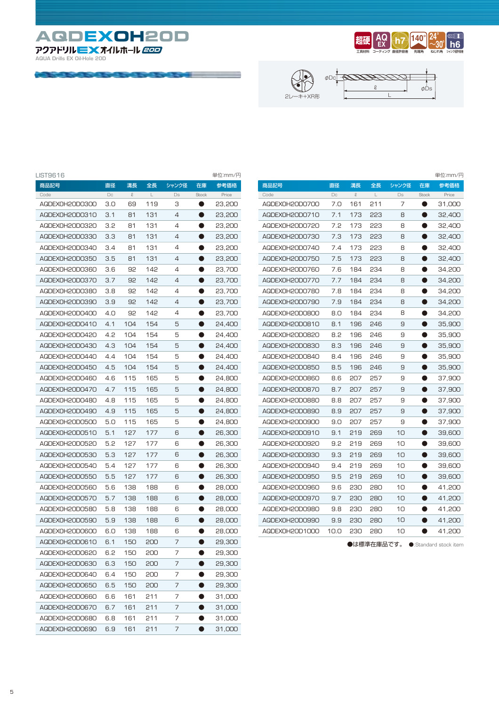**AQDEXOH20D AQUA Drills EX Oil-Hole 20D 20D**

الأنبية المتناوب







| LIST9616       |     |           |         |       |              | 単位:mm/円 |
|----------------|-----|-----------|---------|-------|--------------|---------|
| 商品記号           | 直径  | 溝長        | 全長      | シャンク径 | 在庫           | 参考価格    |
| Code           | Dc  | $\varrho$ | $\perp$ | Ds    | <b>Stock</b> | Price   |
| AQDEX0H20D0300 | 3.0 | 69        | 119     | З     |              | 23,200  |
| AQDEX0H20D0310 | 3.1 | 81        | 131     | 4     | D            | 23,200  |
| AQDEXOH2ODO320 | 3.2 | 81        | 131     | 4     |              | 23,200  |
| AQDEXOH2ODO330 | 3.3 | 81        | 131     | 4     | O            | 23,200  |
| AQDEXOH2ODO340 | 3.4 | 81        | 131     | 4     | D            | 23,200  |
| AQDEXOH2ODO350 | 3.5 | 81        | 131     | 4     |              | 23,200  |
| AQDEXOH2ODO36O | 3.6 | 92        | 142     | 4     |              | 23,700  |
| AQDEX0H20D0370 | 3.7 | 92        | 142     | 4     | D            | 23,700  |
| AQDEXOH2ODO38O | 3.8 | 92        | 142     | 4     | o            | 23,700  |
| AQDEXOH2ODO390 | 3.9 | 92        | 142     | 4     | O            | 23,700  |
| AQDEXOH2ODO4OO | 4.O | 92        | 142     | 4     | ●            | 23,700  |
| AQDEX0H20D0410 | 4.1 | 104       | 154     | 5     | D            | 24,400  |
| AQDEXOH2ODO42O | 4.2 | 104       | 154     | 5     |              | 24,400  |
| AQDEXOH2ODO430 | 4.3 | 104       | 154     | 5     | D            | 24,400  |
| AQDEXOH2ODO440 | 4.4 | 104       | 154     | 5     |              | 24,400  |
| AQDEXOH2ODO450 | 4.5 | 104       | 154     | 5     | O            | 24,400  |
| AQDEXOH2ODO46O | 4.6 | 115       | 165     | 5     | ●            | 24,800  |
| AQDEX0H2OD0470 | 4.7 | 115       | 165     | 5     | ۰            | 24,800  |
| AQDEXOH2ODO48O | 4.8 | 115       | 165     | 5     |              | 24,800  |
| AQDEXOH2ODO490 | 4.9 | 115       | 165     | 5     | D            | 24,800  |
| AQDEX0H20D0500 | 5.0 | 115       | 165     | 5     | o            | 24,800  |
| AQDEX0H20D0510 | 5.1 | 127       | 177     | 6     | O            | 26,300  |
| AQDEX0H20D0520 | 5.2 | 127       | 177     | 6     | O            | 26,300  |
| AQDEXOH2ODO530 | 5.3 | 127       | 177     | 6     | D            | 26,300  |
| AQDEXOH2ODO540 | 5.4 | 127       | 177     | 6     |              | 26,300  |
| AQDEXOH2ODO550 | 5.5 | 127       | 177     | 6     | D            | 26,300  |
| AQDEXOH2ODO560 | 5.6 | 138       | 188     | 6     |              | 28,000  |
| AQDEX0H20D0570 | 5.7 | 138       | 188     | 6     | O            | 28,000  |
| AQDEXOH2ODO580 | 5.8 | 138       | 188     | 6     | ●            | 28,000  |
| AQDEXOH2ODO590 | 5.9 | 138       | 188     | 6     | ۰            | 28,000  |
| AQDEXOH2ODO6OO | 6.0 | 138       | 188     | 6     |              | 28,000  |
| AQDEX0H2OD0610 | 6.1 | 150       | 200     | 7     | ۰            | 29,300  |
| AQDEX0H20D0620 | 6.2 | 150       | 200     | 7     |              | 29,300  |
| AQDEX0H20D0630 | 6.3 | 150       | 500     | 7     |              | 29,300  |
| AQDEX0H20D0640 | 6.4 | 150       | 200     | 7     |              | 29,300  |
| AQDEX0H20D0650 | 6.5 | 150       | 200     | 7     |              | 29,300  |
| AQDEX0H20D0660 | 6.6 | 161       | 211     | 7     |              | 31,000  |
| AQDEX0H20D0670 | 6.7 | 161       | 211     | 7     |              | 31,000  |
| AQDEX0H2OD0680 | 6.8 | 161       | 211     | 7     |              | 31,000  |
| AQDEX0H20D0690 | 6.9 | 161       | 211     | 7     |              | 31,000  |

|                |      |     |              |       |              | 単位:mm/円 |
|----------------|------|-----|--------------|-------|--------------|---------|
| 商品記号           | 直径   | 溝長  | 全長           | シャンク径 | 在庫           | 参考価格    |
| Code           | Dc   | Q,  | $\mathbf{L}$ | Ds    | <b>Stock</b> | Price   |
| AQDEXOH2ODO7OO | 7.0  | 161 | 211          | 7     |              | 31,000  |
| AQDEX0H20D0710 | 7.1  | 173 | 223          | 8     | O            | 32,400  |
| AQDEXOH2ODO720 | 7.2  | 173 | 223          | 8     |              | 32,400  |
| AQDEXOH2ODO730 | 7.3  | 173 | 223          | 8     |              | 32,400  |
| AQDEXOH2ODO740 | 7.4  | 173 | 223          | 8     |              | 32,400  |
| AQDEXOH2ODO750 | 7.5  | 173 | 223          | 8     | Ð            | 32,400  |
| AQDEXOH2ODO760 | 7.6  | 184 | 234          | 8     |              | 34,200  |
| AQDEX0H2OD0770 | 7.7  | 184 | 234          | 8     |              | 34,200  |
| AQDEXOH2ODO780 | 7.8  | 184 | 234          | 8     | D            | 34,200  |
| AQDEXOH2ODO790 | 7.9  | 184 | 234          | 8     | ۸            | 34,200  |
| AQDEXOH2ODO8OO | 8.0  | 184 | 234          | 8     |              | 34,200  |
| AQDEX0H20D0810 | 8.1  | 196 | 246          | 9     | a l          | 35,900  |
| AQDEXOH2ODO82O | 8.2  | 196 | 246          | 9     |              | 35,900  |
| AQDEXOH2ODO830 | 8.3  | 196 | 246          | 9     | ۸            | 35,900  |
| AQDEXOH2ODO840 | 8.4  | 196 | 246          | 9     |              | 35,900  |
| AQDEXOH2ODO850 | 8.5  | 196 | 246          | 9     | D            | 35,900  |
| AQDEXOH2ODO860 | 8.6  | 207 | 257          | 9     | ۰            | 37,900  |
| AQDEXOH2ODO870 | 8.7  | 207 | 257          | 9     | Ð            | 37,900  |
| AQDEXOH2ODO88O | 8.8  | 207 | 257          | 9     |              | 37,900  |
| AQDEXOH2ODO890 | 8.9  | 207 | 257          | 9     | D            | 37,900  |
| AQDEXOH2ODO900 | 9.0  | 207 | 257          | 9     |              | 37,900  |
| AQDEX0H20D0910 | 9.1  | 219 | 269          | 10    | ۹            | 39,600  |
| AQDEXOH2ODO920 | 9.2  | 219 | 269          | 10    |              | 39,600  |
| AQDEXOH2ODO930 | 9.3  | 219 | 269          | 10    | D            | 39,600  |
| AQDEXOH2ODO940 | 9.4  | 219 | 269          | 10    | D            | 39,600  |
| AQDEXOH2ODO950 | 9.5  | 219 | 269          | 10    | ۸            | 39,600  |
| AQDEXOH2ODO960 | 9.6  | 230 | 280          | 10    |              | 41,200  |
| AQDEXOH2ODO970 | 9.7  | 230 | 280          | 10    |              | 41,200  |
| AQDEXOH2ODO980 | 9.8  | 230 | 280          | 10    |              | 41,200  |
| AQDEXOH2ODO990 | 9.9  | 230 | 280          | 10    |              | 41,200  |
| AQDEX0H2OD1000 | 10.0 | 230 | 280          | 10    |              | 41,200  |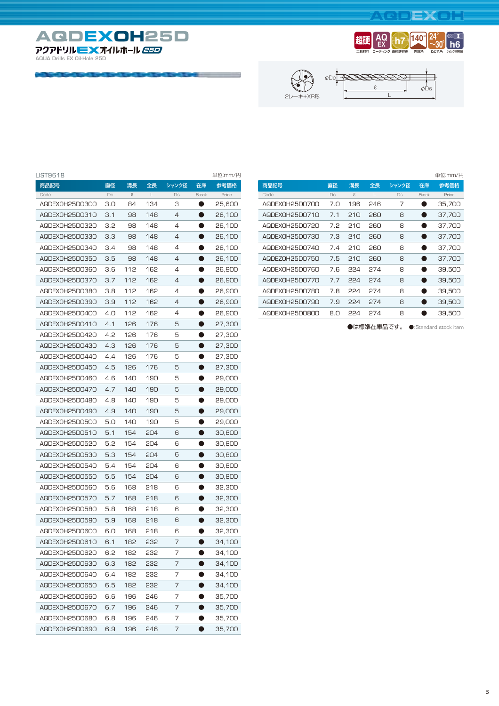#### **AQDEXOH**







| LIST9618       |     |               |     |       |           | 単位:mm/円 |
|----------------|-----|---------------|-----|-------|-----------|---------|
| 商品記号           | 直径  | 溝長            | 全長  | シャンク径 | 在庫        | 参考価格    |
| Code           | Dc  | $\mathcal{Q}$ | L   | Ds    | Stock     | Price   |
| AQDEX0H25D0300 | 3.0 | 84            | 134 | З     | $\bullet$ | 25,600  |
| AQDEX0H25D0310 | 3.1 | 98            | 148 | 4     |           | 26,100  |
| AQDEX0H25D0320 | 3.2 | 98            | 148 | 4     | D         | 26,100  |
| AQDEX0H25D0330 | 3.3 | 98            | 148 | 4     |           | 26,100  |
| AQDEX0H25D0340 | 3.4 | 98            | 148 | 4     | O         | 26,100  |
| AQDEX0H25D0350 | 3.5 | 98            | 148 | 4     | O         | 26,100  |
| AQDEX0H25D0360 | 3.6 | 112           | 162 | 4     |           | 26,900  |
| AQDEX0H25D0370 | 3.7 | 112           | 162 | 4     |           | 26,900  |
| AQDEX0H25D0380 | 3.8 | 112           | 162 | 4     | D         | 26,900  |
| AQDEX0H25D0390 | 3.9 | 112           | 162 | 4     | O         | 26,900  |
| AQDEX0H25D0400 | 4.O | 112           | 162 | 4     | D         | 26,900  |
| AQDEX0H25D0410 | 4.1 | 126           | 176 | 5     | O         | 27,300  |
| AQDEX0H25D0420 | 4.2 | 126           | 176 | 5     |           | 27,300  |
| AQDEX0H25D0430 | 4.3 | 126           | 176 | 5     |           | 27,300  |
| AQDEX0H25D0440 | 4.4 | 126           | 176 | 5     | n         | 27,300  |
| AQDEX0H25D0450 | 4.5 | 126           | 176 | 5     |           | 27,300  |
| AQDEX0H25D0460 | 4.6 | 140           | 190 | 5     | O         | 29,000  |
| AQDEX0H25D0470 | 4.7 | 140           | 190 | 5     | O         | 29,000  |
| AQDEX0H25D0480 | 4.8 | 140           | 190 | 5     |           | 29,000  |
| AQDEX0H25D0490 | 4.9 | 140           | 190 | 5     |           | 29,000  |
| AQDEX0H25D0500 | 5.0 | 140           | 190 | 5     | D         | 29,000  |
| AQDEX0H25D0510 | 5.1 | 154           | 204 | 6     | D         | 30,800  |
| AQDEX0H25D0520 | 5.2 | 154           | 204 | 6     | D         | 30,800  |
| AQDEX0H25D0530 | 5.3 | 154           | 204 | 6     | O         | 30,800  |
| AQDEX0H25D0540 | 5.4 | 154           | 204 | 6     |           | 30,800  |
| AQDEX0H25D0550 | 5.5 | 154           | 204 | 6     |           | 30,800  |
| AQDEX0H25D0560 | 5.6 | 168           | 218 | 6     | n         | 32,300  |
| AQDEX0H25D0570 | 5.7 | 168           | 218 | 6     |           | 32,300  |
| AQDEX0H25D0580 | 5.8 | 168           | 218 | 6     | D         | 32,300  |
| AQDEX0H25D0590 | 5.9 | 168           | 218 | 6     | ●         | 32,300  |
| AQDEX0H25D0600 | 6.0 | 168           | 218 | 6     |           | 32,300  |
| AQDEX0H25D0610 | 6.1 | 182           | 232 | 7     |           | 34,100  |
| AQDEX0H25D0620 | 6.2 | 182           | 232 | 7     |           | 34,100  |
| AQDEX0H25D0630 | 6.3 | 182           | 232 | 7     |           | 34,100  |
| AQDEX0H25D0640 | 6.4 | 182           | 232 | 7     |           | 34,100  |
| AQDEX0H25D0650 | 6.5 | 182           | 232 | 7     |           | 34,100  |
| AQDEX0H25D0660 | 6.6 | 196           | 246 | 7     |           | 35,700  |
| AQDEX0H25D0670 | 6.7 | 196           | 246 | 7     |           | 35,700  |
| AQDEX0H25D0680 | 6.8 | 196           | 246 | 7     |           | 35,700  |
| AQDEX0H25D0690 | 6.9 | 196           | 246 | 7     |           | 35,700  |

|  |                |     |     |     |       |              | 単位:mm/円 |
|--|----------------|-----|-----|-----|-------|--------------|---------|
|  | 商品記号           | 直径  | 溝長  | 全長  | シャンク径 | 在庫           | 参考価格    |
|  | Code           | Do  | Q,  | L   | Ds    | <b>Stock</b> | Price   |
|  | AQDEX0H25D0700 | 7.0 | 196 | 246 | 7     |              | 35.700  |
|  | AQDEX0H25D0710 | 7.1 | 210 | 260 | 8     |              | 37.700  |
|  | AQDEX0H25D0720 | 7.2 | 210 | 260 | 8     |              | 37.700  |
|  | AQDEX0H25D0730 | 7.3 | 210 | 260 | 8     |              | 37.700  |
|  | AQDEX0H25D0740 | 7.4 | 210 | 260 | 8     |              | 37.700  |
|  | AQDEZ0H25D0750 | 7.5 | 210 | 260 | 8     |              | 37.700  |
|  | AQDEX0H25D0760 | 7.6 | 224 | 274 | 8     | n            | 39.500  |
|  | AQDEX0H25D0770 | 7.7 | 224 | 274 | 8     |              | 39,500  |
|  | AQDEX0H25D0780 | 7.8 | 224 | 274 | 8     |              | 39.500  |
|  | AQDEX0H25D0790 | 7.9 | 224 | 274 | 8     |              | 39,500  |
|  | AQDEX0H25D0800 | 8.0 | 224 | 274 | 8     |              | 39.500  |
|  |                |     |     |     |       |              |         |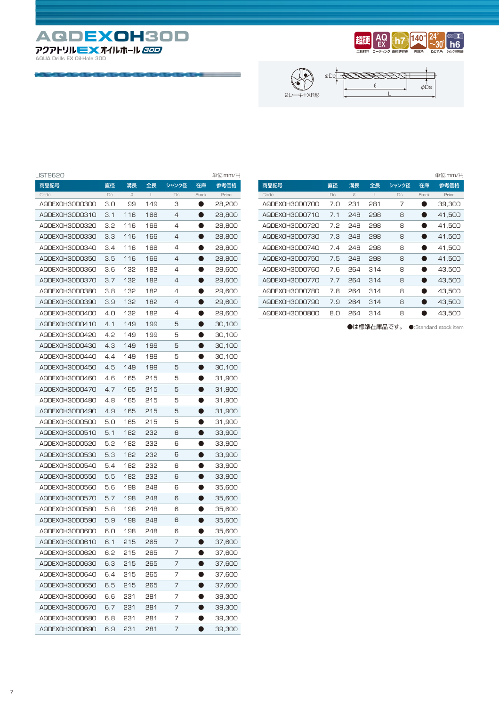**AQDEXOH30D AQUA Drills EX Oil-Hole 30D 30D**







| LIST9620       |     |               |     |       |           | 単位:mm/円 |
|----------------|-----|---------------|-----|-------|-----------|---------|
| 商品記号           | 直径  | 溝長            | 全長  | シャンク径 | 在庫        | 参考価格    |
| Code           | Dc  | $\mathcal{Q}$ | L   | Ds    | Stock     | Price   |
| AQDEX0H30D0300 | 3.0 | 99            | 149 | З     | $\bullet$ | 28,200  |
| AQDEX0H30D0310 | 3.1 | 116           | 166 | 4     |           | 28,800  |
| AQDEXOH3ODO320 | 3.2 | 116           | 166 | 4     | D         | 28,800  |
| AQDEXOH3ODO330 | 3.3 | 116           | 166 | 4     |           | 28,800  |
| AQDEXOH3ODO340 | 3.4 | 116           | 166 | 4     | O         | 28,800  |
| AQDEXOH3ODO350 | 3.5 | 116           | 166 | 4     | O         | 28,800  |
| AQDEXOH3ODO360 | 3.6 | 132           | 182 | 4     |           | 29,600  |
| AQDEXOH3ODO370 | 3.7 | 132           | 182 | 4     |           | 29,600  |
| AQDEXOH3ODO38O | 3.8 | 132           | 182 | 4     | D         | 29,600  |
| AQDEXOH3ODO390 | 3.9 | 132           | 182 | 4     | D         | 29,600  |
| AQDEXOH3ODO4OO | 4.O | 132           | 182 | 4     | D         | 29,600  |
| AQDEXOH3ODO410 | 4.1 | 149           | 199 | 5     | ●         | 30,100  |
| AQDEXOH3ODO420 | 4.2 | 149           | 199 | 5     | D         | 30,100  |
| AQDEXOH3ODO430 | 4.3 | 149           | 199 | 5     |           | 30,100  |
| AQDEXOH3ODO440 | 4.4 | 149           | 199 | 5     | n         | 30,100  |
| AQDEXOH3ODO450 | 4.5 | 149           | 199 | 5     |           | 30,100  |
| AQDEXOH3ODO46O | 4.6 | 165           | 215 | 5     | O         | 31,900  |
| AQDEX0H30D0470 | 4.7 | 165           | 215 | 5     | O         | 31,900  |
| AQDEXOH3ODO48O | 4.8 | 165           | 215 | 5     |           | 31,900  |
| AQDEXOH3ODO490 | 4.9 | 165           | 215 | 5     |           | 31,900  |
| AQDEXOH3ODO5OO | 5.O | 165           | 215 | 5     | D         | 31,900  |
| AQDEX0H30D0510 | 5.1 | 182           | 232 | 6     | D         | 33,900  |
| AQDEXOH3ODO520 | 5.2 | 182           | 232 | 6     | D         | 33,900  |
| AQDEXOH3ODO530 | 5.3 | 182           | 232 | 6     | O         | 33,900  |
| AQDEXOH3ODO540 | 5.4 | 182           | 232 | 6     |           | 33,900  |
| AQDEXOH3ODO550 | 5.5 | 182           | 232 | 6     |           | 33,900  |
| AQDEXOH3ODO560 | 5.6 | 198           | 248 | 6     | n         | 35,600  |
| AQDEXOH3ODO570 | 5.7 | 198           | 248 | 6     |           | 35,600  |
| AQDEXOH3ODO580 | 5.8 | 198           | 248 | 6     | O         | 35,600  |
| AQDEXOH3ODO590 | 5.9 | 198           | 248 | 6     | ●         | 35,600  |
| AQDEXOH3ODO6OO | 6.0 | 198           | 248 | 6     |           | 35,600  |
| AQDEXOH3ODO610 | 6.1 | 215           | 265 | 7     |           | 37,600  |
| AQDEX0H30D0620 | 6.2 | 215           | 265 | 7     |           | 37,600  |
| AQDEX0H30D0630 | 6.3 | 215           | 265 | 7     |           | 37,600  |
| AQDEXOH3ODO640 | 6.4 | 215           | 265 | 7     |           | 37,600  |
| AQDEXOH3ODO650 | 6.5 | 215           | 265 | 7     |           | 37,600  |
| AQDEXOH3ODO66O | 6.6 | 231           | 281 | 7     |           | 39,300  |
| AQDEX0H30D0670 | 6.7 | 231           | 281 | 7     |           | 39,300  |
| AQDEXOH3ODO68O | 6.8 | 231           | 281 | 7     |           | 39,300  |
| AQDEX0H30D0690 | 6.9 | 231           | 281 | 7     |           | 39,300  |

|                |     |     |     |       |                        | 単位:mm/円 |
|----------------|-----|-----|-----|-------|------------------------|---------|
| 商品記号           | 直径  | 溝長  | 全長  | シャンク径 | 在庫                     | 参考価格    |
| Code           | Dc  | ρ.  |     | Ds    | <b>Stock</b>           | Price   |
| AQDEX0H30D0700 | 7.O | 231 | 281 | 7     |                        | 39,300  |
| AQDEX0H30D0710 | 7.1 | 248 | 298 | 8     |                        | 41.500  |
| AQDEXOH3ODO720 | 7.2 | 248 | 298 | 8     | <b>Service Service</b> | 41.500  |
| AQDEX0H30D0730 | 7.3 | 248 | 298 | 8     |                        | 41.500  |
| AQDEX0H30D0740 | 7.4 | 248 | 298 | 8     | n                      | 41.500  |
| AQDEX0H30D0750 | 7.5 | 248 | 298 | 8     |                        | 41.500  |
| AQDEX0H30D0760 | 7.6 | 264 | 314 | 8     |                        | 43.500  |
| AQDEX0H30D0770 | 7.7 | 264 | 314 | 8     |                        | 43.500  |
| AQDEX0H30D0780 | 7.8 | 264 | 314 | 8     |                        | 43,500  |
| AQDEX0H30D0790 | 7.9 | 264 | 314 | 8     |                        | 43,500  |
| AQDEXOH3ODO8OO | 8.0 | 264 | 314 | 8     |                        | 43.500  |
|                |     |     |     |       |                        |         |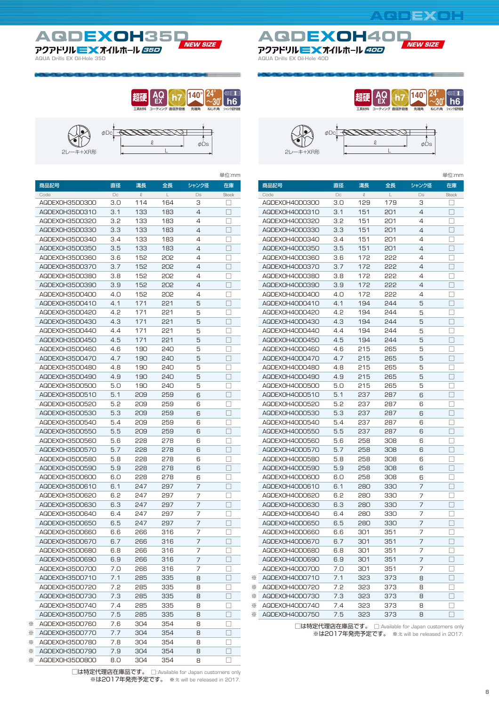ねじれ角 **24** ~**30**

シャンク径許容差 **h6**

単位:mm

先端角 **140**







|                                  |        |        |              |                | 里位:mm        |   |                         |     |        |              |                                                 | 里位∶r        |
|----------------------------------|--------|--------|--------------|----------------|--------------|---|-------------------------|-----|--------|--------------|-------------------------------------------------|-------------|
| 商品記号                             | 直径     | 溝長     | 全長           | シャンク径          | 在庫           |   | 商品記号                    | 直径  | 溝長     | 全長           | シャンク径                                           | 在庫          |
| Code                             | $\Box$ | $\ell$ | $\mathsf{L}$ | Ds             | <b>Stock</b> |   | Code                    | Dc  | $\ell$ | $\mathsf{L}$ | Ds                                              | Stock       |
| AQDEXOH35DO300                   | 3.0    | 114    | 164          | 3              | ப            |   | AQDEXOH4ODO3OO          | 3.0 | 129    | 179          | 3                                               | ⊔           |
| AQDEX0H35D0310                   | 3.1    | 133    | 183          | $\overline{4}$ | □            |   | AQDEX0H40D0310          | 3.1 | 151    | 201          | $\overline{4}$                                  | $\Box$      |
| AQDEXOH35DO320                   | 3.2    | 133    | 183          | 4              | □            |   | AQDEXOH4ODO320          | 3.2 | 151    | 201          | 4                                               | $\Box$      |
| AQDEXOH35DO330                   | 3.3    | 133    | 183          | $\overline{4}$ | $\Box$       |   | AQDEXOH4ODO330          | 3.3 | 151    | 201          | $\overline{4}$                                  | $\Box$      |
| AQDEXOH35DO340                   | 3.4    | 133    | 183          | $\overline{4}$ | □            |   | AQDEXOH4ODO34O          | 3.4 | 151    | 201          | 4                                               | □           |
| AQDEXOH35D0350                   | 3.5    | 133    | 183          | $\overline{4}$ | $\Box$       |   | AQDEXOH4OD0350          | 3.5 | 151    | 201          | $\overline{4}$                                  | $\Box$      |
| AQDEXOH35DO360                   | 3.6    | 152    | 202          | $\overline{4}$ | П            |   | AQDEXOH4ODO36O          | 3.6 | 172    | 555          | $\overline{4}$                                  | $\Box$      |
| AQDEXOH35D0370                   | 3.7    | 152    | 202          | 4              | □            |   | AQDEX0H4OD0370          | 3.7 | 172    | 555          | $\overline{4}$                                  | $\Box$      |
| AQDEXOH35DO380                   | 3.8    | 152    | 202          | $\overline{4}$ | $\Box$       |   | AQDEXOH4ODO38O          | 3.8 | 172    | 555          | $\overline{4}$                                  | $\Box$      |
| AQDEX0H35D0390                   | 3.9    | 152    | 202          | $\overline{4}$ | П            |   | AQDEXOH4ODO390          | 3.9 | 172    | 555          | $\overline{4}$                                  | $\Box$      |
| AQDEXOH35D0400                   | 4.0    | 152    | 202          | $\overline{4}$ | $\Box$       |   | AQDEXOH4OD0400          | 4.O | 172    | 555          | $\overline{4}$                                  | $\Box$      |
| AQDEXOH35D0410                   | 4.1    | 171    | 221          | 5              | $\Box$       |   | AQDEXOH4ODO410          | 4.1 | 194    | 244          | 5                                               | $\Box$      |
| AQDEX0H35D0420                   | 4.2    | 171    | 221          | 5              | П            |   | AQDEXOH4OD0420          | 4.2 | 194    | 244          | 5                                               | □           |
| AQDEXOH35D0430                   | 4.3    | 171    | 221          | 5              | П            |   | AQDEXOH4ODO430          | 4.3 | 194    | 244          | 5                                               | $\Box$      |
| AQDEX0H35D0440                   | 4.4    | 171    | 221          | 5              | □            |   | AQDEX0H40D0440          | 4.4 | 194    | 244          | 5                                               | $\Box$      |
| AQDEXOH35D0450                   | 4.5    | 171    | 221          | 5              | $\Box$       |   | AQDEXOH4OD0450          | 4.5 | 194    | 244          | 5                                               | $\Box$      |
| AQDEXOH35D0460                   | 4.6    | 190    | 240          | 5              | $\Box$       |   | AQDEXOH4ODO46O          | 4.6 | 215    | 265          | 5                                               | $\Box$      |
| AQDEXOH35DO47O                   | 4.7    | 190    | 240          | 5              | $\Box$       |   | AQDEX0H40D0470          | 4.7 | 215    | 265          | 5                                               | $\Box$      |
| AQDEXOH35D0480                   | 4.8    | 190    | 240          | 5              | □            |   | AQDEXOH4OD0480          | 4.8 | 215    | 265          | 5                                               | $\Box$      |
| AQDEXOH35DO490                   | 4.9    | 190    | 240          | 5              | $\Box$       |   | AQDEXOH4OD0490          | 4.9 | 215    | 265          | 5                                               | $\Box$      |
| AQDEX0H35D0500                   | 5.0    | 190    | 240          | 5              | □            |   | AQDEX0H40D0500          | 5.0 | 215    | 265          | 5                                               | □           |
| AQDEXOH35D0510                   | 5.1    | 209    | 259          | 6              | $\Box$       |   | AQDEXOH4ODO510          | 5.1 | 237    | 287          | 6                                               | $\Box$      |
| AQDEXOH35D0520                   | 5.2    | 209    | 259          | 6              | $\Box$       |   | AQDEXOH4ODO520          | 5.2 | 237    | 287          | 6                                               | $\Box$      |
| AQDEX0H35D0530                   | 5.3    | 209    | 259          | 6              | П            |   | AQDEXOH4OD0530          | 5.3 | 237    | 287          | 6                                               | $\Box$      |
| AQDEXOH35D0540                   | 5.4    | 209    | 259          | 6              | П            |   | AQDEXOH4OD0540          | 5.4 | 237    | 287          | 6                                               | $\Box$      |
|                                  | 5.5    | 209    | 259          | 6              | $\Box$       |   | AQDEX0H40D0550          | 5.5 | 237    | 287          | 6                                               |             |
| AQDEXOH35D0550<br>AQDEXOH35D0560 | 5.6    | 228    | 278          |                | □            |   | AQDEXOH4OD0560          |     | 258    | 308          |                                                 | $\Box$<br>□ |
|                                  |        |        |              | 6              | $\Box$       |   |                         | 5.6 |        |              | 6                                               |             |
| AQDEXOH35D0570                   | 5.7    | 228    | 278          | 6              |              |   | AQDEXOH4ODO570          | 5.7 | 258    | 308          | 6                                               | $\Box$      |
| AQDEXOH35D0580                   | 5.8    | 228    | 278          | 6              | □            |   | AQDEXOH4ODO580          | 5.8 | 258    | 308          | 6                                               | □           |
| AQDEXOH35D0590                   | 5.9    | 228    | 278          | 6              | П            |   | AQDEXOH4OD0590          | 5.9 | 258    | 308          | 6                                               | $\Box$      |
| AQDEX0H35D0600                   | 6.0    | 228    | 278          | 6              | $\Box$       |   | AQDEX0H40D0600          | 6.0 | 258    | 308          | 6                                               | $\Box$      |
| AQDEX0H35D0610                   | 6.1    | 247    | 297          | $\overline{7}$ | П            |   | AQDEXOH4ODO610          | 6.1 | 280    | 330          | $\overline{7}$                                  | $\Box$      |
| AQDEXOH35DO620                   | 6.2    | 247    | 297          | 7              | $\Box$       |   | AQDEXOH4ODO620          | 6.2 | 280    | 330          | 7                                               | $\Box$      |
| AQDEXOH35DO630                   | 6.3    | 247    | 297          | $\overline{7}$ | $\Box$       |   | AQDEXOH4ODO630          | 6.3 | 280    | 330          | $\overline{7}$                                  | $\Box$      |
| AQDEXOH35DO640                   | 6.4    | 247    | 297          | 7              | □            |   | AQDEX0H40D0640          | 6.4 | 280    | 330          | 7                                               | $\Box$      |
| AQDEXOH35D0650                   | 6.5    | 247    | 297          | $\overline{7}$ | П            |   | AQDEX0H40D0650          | 6.5 | 280    | 330          | $\overline{7}$                                  | $\Box$      |
| AQDEXOH35DO660                   | 6.6    | 266    | 316          | 7              | □            |   | AQDEX0H40D0660          | 6.6 | 301    | 351          | 7                                               | □           |
| AQDEX0H35D0670                   | 6.7    | 266    | 316          | $\overline{7}$ | П            |   | AQDEX0H40D0670          | 6.7 | 301    | 351          | $\overline{7}$                                  | $\Box$      |
| AQDEXOH35DO680                   | 6.8    | 266    | 316          | $\overline{7}$ | $\Box$       |   | AQDEX0H40D0680          | 6.8 | 301    | 351          | 7                                               | $\Box$      |
| AQDEXOH35D0690                   | 6.9    | 266    | 316          | 7              | $\Box$       |   | AQDEXOH4ODO690          | 6.9 | 301    | 351          | 7                                               | $\Box$      |
| AQDEXOH35D0700                   | 7.0    | 266    | 316          | 7              | □            |   | AGDEXOH4ODO7OO          | 7.0 | 301    | 351          | 7                                               | $\Box$      |
| AQDEX0H35D0710                   | 7.1    | 285    | 335          | 8              | $\Box$       |   | AQDEXOH4ODO710          | 7.1 | 323    | 373          | 8                                               | $\Box$      |
| AQDEXOH35D0720                   | 7.2    | 285    | 335          | 8              | □            |   | ※ AQDEXOH4ODO720        | 7.2 | 323    | 373          | 8                                               | $\Box$      |
| AQDEXOH35D0730                   | 7.3    | 285    | 335          | 8              | $\Box$       |   | <b>※ AQDEXOH4ODO730</b> | 7.3 | 323    | 373          | 8                                               | □           |
| AQDEXOH35D0740                   | 7.4    | 285    | 335          | 8              | $\Box$       | ⋇ | AQDEX0H40D0740          | 7.4 | 323    | 373          | 8                                               | □           |
| AQDEXOH35D0750                   | 7.5    | 285    | 335          | 8              | $\Box$       | ⋇ | AQDEX0H40D0750          | 7.5 | 323    | 373          | 8                                               | $\Box$      |
| ※ AQDEXOH35D0760                 | 7.6    | 304    | 354          | 8              | □            |   |                         |     |        |              | □は特定代理店在庫品です。 □:Available for Japan customers o |             |
| ※ AQDEXOH35D0770                 | 7.7    | 304    | 354          | 8              | $\Box$       |   |                         |     |        |              | ※は2017年発売予定です。 ※:lt will be released in 20      |             |
| * AQDEXOH35D0780                 | 7.8    | 304    | 354          | 8              | □            |   |                         |     |        |              |                                                 |             |
| <b>EXAGDEXOH35D0790</b>          | 7.9    | 304    | 354          | 8              | $\Box$       |   |                         |     |        |              |                                                 |             |
| <b>※ AQDEXOH35DO800</b>          | 8.0    | 304    | 354          | 8              | $\Box$       |   |                         |     |        |              |                                                 |             |

| 2レーキ+XR形  | $\phi$ Dc     |                   | e                    | $\phi$ Ds      |
|-----------|---------------|-------------------|----------------------|----------------|
|           | 直径            | 溝長                | 全長                   | シャンク径          |
|           | Dc            | $\Omega$          |                      | Ds             |
| H40D0300  | 3.0           | 129               | 179                  | З              |
| H40D0310  | 3.1           | 151               | 201                  | 4              |
| 1.1000000 | $\sim$ $\sim$ | $\alpha - \alpha$ | $\sim$ $\sim$ $\sim$ | $\overline{a}$ |

工具材料 **超硬** コーティング **AQ EX**

直径許容差 **h7**

|   | 商品記            | 直径     | 溝長     |     | ャンク省 | 任庫     |
|---|----------------|--------|--------|-----|------|--------|
|   | Code           | $\Box$ | $\ell$ |     | Ds   | Stock  |
|   | AQDEX0H40D0300 | 3.0    | 129    | 179 | з    |        |
|   | AQDEX0H40D0310 | 3.1    | 151    | 201 | 4    | П      |
|   | AQDEXOH4ODO320 | 3.2    | 151    | 201 | 4    | П      |
|   |                |        |        |     |      |        |
|   | AQDEX0H40D0330 | 3.3    | 151    | 201 | 4    |        |
|   | AQDEXOH4ODO34O | 3.4    | 151    | 201 | 4    | П      |
|   | AQDEX0H40D0350 | 3.5    | 151    | 201 | 4    | П      |
|   | AQDEX0H40D0360 | 3.6    | 172    | 555 | 4    |        |
|   | AQDEX0H40D0370 | 3.7    | 172    | 555 | 4    |        |
|   |                |        |        |     |      |        |
|   | AQDEX0H40D0380 | 3.8    | 172    | 555 | 4    | П      |
|   | AQDEX0H40D0390 | 3.9    | 172    | 555 | 4    | П      |
|   | AQDEX0H40D0400 | 4.0    | 172    | 555 | 4    | П      |
|   | AQDEX0H40D0410 | 4.1    | 194    | 244 | 5    | ш      |
|   | AQDEXOH4ODO42O | 4.2    | 194    | 244 | 5    |        |
|   |                |        |        |     |      |        |
|   | AQDEXOH4ODO430 | 4.3    | 194    | 244 | 5    | П      |
|   | AQDEXOH4ODO440 | 4.4    | 194    | 244 | 5    | $\Box$ |
|   | AQDEX0H40D0450 | 4.5    | 194    | 244 | 5    | П      |
|   | AQDEX0H40D0460 | 4.6    | 215    | 265 | 5    |        |
|   | AQDEX0H40D0470 | 4.7    | 215    | 265 | 5    | П      |
|   | AQDEX0H40D0480 | 4.8    | 215    | 265 | 5    | П      |
|   |                |        |        |     |      |        |
|   | AQDEXOH4ODO490 | 4.9    | 215    | 265 | 5    |        |
|   | AQDEX0H40D0500 | 5.0    | 215    | 265 | 5    |        |
|   | AQDEX0H40D0510 | 5.1    | 237    | 287 | 6    | П      |
|   | AQDEX0H40D0520 | 5.2    | 237    | 287 | 6    |        |
|   | AQDEX0H40D0530 | 5.3    | 237    | 287 | 6    | ш      |
|   | AQDEX0H40D0540 | 5.4    | 237    | 287 | 6    |        |
|   | AQDEXOH4OD0550 | 5.5    | 237    | 287 | 6    | П      |
|   |                |        |        |     |      |        |
|   | AQDEXOH4OD0560 | 5.6    | 258    | 308 | 6    | П      |
|   | AQDEX0H40D0570 | 5.7    | 258    | 308 | 6    | П      |
|   | AQDEX0H40D0580 | 5.8    | 258    | 308 | 6    | П      |
|   | AQDEX0H40D0590 | 5.9    | 258    | 308 | 6    | ш      |
|   | AQDEX0H40D0600 | 6.0    | 258    | 308 | 6    |        |
|   | AQDEX0H40D0610 | 6.1    | 280    | 330 | 7    | П      |
|   |                |        |        |     |      |        |
|   | AQDEX0H40D0620 | 6.2    | 280    | 330 | 7    | П      |
|   | AQDEX0H40D0630 | 6.3    | 280    | 330 | 7    | П      |
|   | AQDEXOH4ODO640 | 6.4    | 280    | 330 | 7    | П      |
|   | AQDEX0H40D0650 | 6.5    | 280    | 330 | 7    |        |
|   | AQDEX0H40D0660 | 6.6    | 301    | 351 | 7    | П      |
|   | AQDEX0H40D0670 | 6.7    | 301    | 351 | 7    |        |
|   |                |        |        |     |      |        |
|   | AQDEXOH4ODO68O | 6.8    | 301    | 351 | 7    | ш      |
|   | AQDEX0H40D0690 | 6.9    | 301    | 351 | 7    |        |
|   | AQDEX0H40D0700 | 7.0    | 301    | 351 | 7    | П      |
| ⋇ | AQDEX0H40D0710 | 7.1    | 323    | 373 | 8    | П      |
| ⋇ | AQDEX0H40D0720 | 7.2    | 323    | 373 | 8    | $\Box$ |
| ፠ | AQDEX0H40D0730 | 7.3    | 323    | 373 | 8    |        |
| ፠ |                |        |        |     |      | ш      |
|   | AQDEX0H40D0740 | 7.4    | 323    | 373 | 8    |        |
| ፠ | AQDEX0H40D0750 | 7.5    | 323    | 373 | 8    |        |
|   |                |        |        |     |      |        |

□は特定代理店在庫品です。 □:Available for Japan customers only ※は2017年発売予定です。 ※:It will be released in 2017.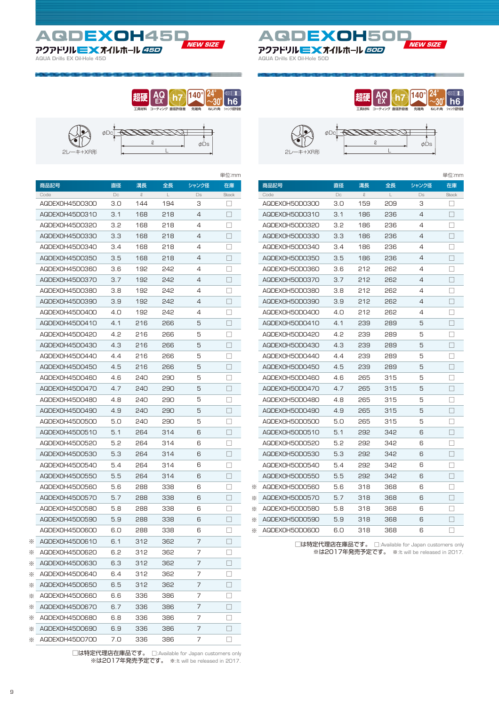**AQDEXOH45D NEW SIZE** アクアドリル <mark>ニ 文</mark> オイルホール *45D インタン インター アクア*ドリル 三 文 オイルホール *50D* 

**AQUA Drills EX Oil-Hole 45D AQUA Drills EX Oil-Hole 50D**



|                        |           |                      |     |        | 単位:mm        |
|------------------------|-----------|----------------------|-----|--------|--------------|
| 商品記号                   | 直径        | 溝長                   | 全長  | シャンク径  | 在庫           |
| Code<br>AQDEX0H45D0300 | Dc<br>3.0 | $\mathcal{Q}$<br>144 | 194 | Ds     | Stock        |
| AQDEXOH45DO310         | 3.1       | 168                  | 218 | з<br>4 | $\Box$       |
|                        |           |                      | 218 |        |              |
| AQDEX0H45D0320         | 3.2       | 168                  |     | 4      |              |
| AQDEX0H45D0330         | 3.3       | 168                  | 218 | 4      |              |
| AQDEXOH45DO340         | 3.4       | 168                  | 218 | 4      | П            |
| AQDEX0H45D0350         | 3.5       | 168                  | 218 | 4      |              |
| AQDEX0H45D0360         | 3.6       | 192                  | 242 | 4      |              |
| AQDEX0H45D0370         | 3.7       | 192                  | 242 | 4      | H            |
| AQDEX0H45D0380         | 3.8       | 192                  | 242 | 4      |              |
| AQDEX0H45D0390         | 3.9       | 192                  | 242 | 4      | J.           |
| AQDEX0H45D0400         | 4.O       | 192                  | 242 | 4      | П            |
| AQDEX0H45D0410         | 4.1       | 216                  | 266 | 5      |              |
| AQDEX0H45D0420         | 4.2       | 216                  | 266 | 5      | H            |
| AQDEX0H45D0430         | 4.3       | 216                  | 266 | 5      | $\Box$       |
| AQDEXOH45DO440         | 4.4       | 216                  | 266 | 5      |              |
| AQDEX0H45D0450         | 4.5       | 216                  | 266 | 5      |              |
| AQDEX0H45D0460         | 4.6       | 240                  | 290 | 5      | П            |
| AQDEX0H45D0470         | 4.7       | 240                  | 290 | 5      |              |
| AQDEX0H45D0480         | 4.8       | 240                  | 290 | 5      |              |
| AQDEX0H45D0490         | 4.9       | 240                  | 290 | 5      | H            |
| AQDEXOH45D0500         | 5.0       | 240                  | 290 | 5      |              |
| AQDEX0H45D0510         | 5.1       | 264                  | 314 | 6      | J.           |
| AQDEXOH45DO520         | 5.2       | 264                  | 314 | 6      | ш            |
| AQDEX0H45D0530         | 5.3       | 264                  | 314 | 6      |              |
| AQDEX0H45D0540         | 5.4       | 264                  | 314 | 6      | H            |
| AQDEXOH45DO550         | 5.5       | 264                  | 314 | 6      | ш            |
| AQDEXOH45DO560         | 5.6       | 288                  | 338 | 6      |              |
| AQDEX0H45D0570         | 5.7       | 288                  | 338 | 6      |              |
| AQDEX0H45D0580         | 5.8       | 288                  | 338 | 6      |              |
| AQDEX0H45D0590         | 5.9       | 288                  | 338 | 6      |              |
| AQDEXOH45DO6OO         | 6.O       | 288                  | 338 | 6      |              |
| AQDEX0H45D0610         | 6.1       | 312                  | 362 | 7      |              |
| AQDEXOH45DO620         | 6.2       | 312                  | 362 | 7      |              |
| AQDEX0H45D0630         | 6.3       | 312                  | 362 | 7      | П            |
| AQDEXOH45DO640         | 6.4       | 312                  | 362 | 7      | $\Box$       |
| AQDEXOH45D0650         | 6.5       | 312                  | 362 | 7      | $\mathbf{L}$ |
| AQDEX0H45D0660         | 6.6       | 336                  | 386 | 7      | $\Box$       |
| AQDEX0H45D0670         | 6.7       | 336                  | 386 | 7      |              |
| AQDEXOH45D0680         | 6.8       | 336                  | 386 | 7      | ш            |
|                        | 6.9       |                      |     |        | H            |
| AQDEX0H45D0690         |           | 336                  | 386 | 7      |              |
| AQDEX0H45D0700         | 7.O       | 336                  | 386 | 7      |              |

□は特定代理店在庫品です。 □:Available for Japan customers only ※は2017年発売予定です。 ※:It will be released in 2017.

|                |     | 超健<br>工具材料<br>Е | ティング 直径許容差 | 140<br>ねじれ角<br>先端角 | シャンク径許容差     |
|----------------|-----|-----------------|------------|--------------------|--------------|
| 2レーキ+XR形       | øDс | l               |            | ΦDs                |              |
|                |     |                 |            |                    | 単位:mm        |
| 商品記号           | 直径  | 溝長              | 全長         | シャンク径              | 在庫           |
| Code           | Dc  | $\mathcal{Q}$   |            | Ds                 | <b>Stock</b> |
| AQDEXOH5ODO3OO | 3.0 | 159             | 209        | З                  |              |
| AQDEX0H50D0310 | 3.1 | 186             | 236        | 4                  |              |
| AQDEX0H50D0320 | 3.2 | 186             | 236        | 4                  | - 1          |
| AQDEX0H50D0330 | 3.3 | 186             | 236        | 4                  |              |
| AQDEX0H50D0340 | 3.4 | 186             | 236        | 4                  |              |
| AQDEX0H50D0350 | 3.5 | 186             | 236        | 4                  |              |
| AQDEX0H50D0360 | 3.6 | 212             | 262        | 4                  |              |
| AQDEX0H50D0370 | 3.7 | 212             | 262        | 4                  | П            |
| AQDEX0H50D0380 | 3.8 | 212             | 262        | 4                  |              |
| AQDEX0H50D0390 | 3.9 | 212             | 262        | 4                  |              |
| AQDEX0H50D0400 | 4.0 | 212             | 262        | 4                  |              |
| AQDEX0H50D0410 | 4.1 | 239             | 289        | 5                  |              |
| AQDEX0H50D0420 | 4.2 | 239             | 289        | 5                  |              |
| AQDEX0H50D0430 | 4.3 | 239             | 289        | 5                  |              |
| AQDEX0H50D0440 | 4.4 | 239             | 289        | 5                  |              |
| AQDEX0H50D0450 | 4.5 | 239             | 289        | 5                  |              |
| AQDEX0H50D0460 | 4.6 | 265             | 315        | 5                  |              |
| AQDEX0H50D0470 | 4.7 | 265             | 315        | 5                  |              |
| AQDEX0H50D0480 | 4.8 | 265             | 315        | 5                  |              |

AQDEXOH50D0480 AQDEXOH50D0490 AQDEXOH50D0500 AQDEXOH50D0510 AQDEXOH50D0520 AQDEXOH50D0530 AQDEXOH50D0540 AQDEXOH50D0550 AQDEXOH50D0560 AQDEXOH50D0570 AQDEXOH50D0580 AQDEXOH50D0590 AQDEXOH50D0600 ※ ※ ※ ※ ※ 4.9 5.0 5.1 5.2 5.3 5.4 5.5 5.6 5.7 5.8 5.9 6.0 265 265 292 292 292 292 292 318 318 318 318 318 315 315 342 342 342 342 342 368 368 368 368 368 5 5 6 6 6 6 6 6 6 6 6 6 □ □ □ □ □ □ □ □ □ □ □ □

> □は特定代理店在庫品です。 □:Available for Japan customers only ※は2017年発売予定です。 ※:It will be released in 2017.



 $Cc$ 商

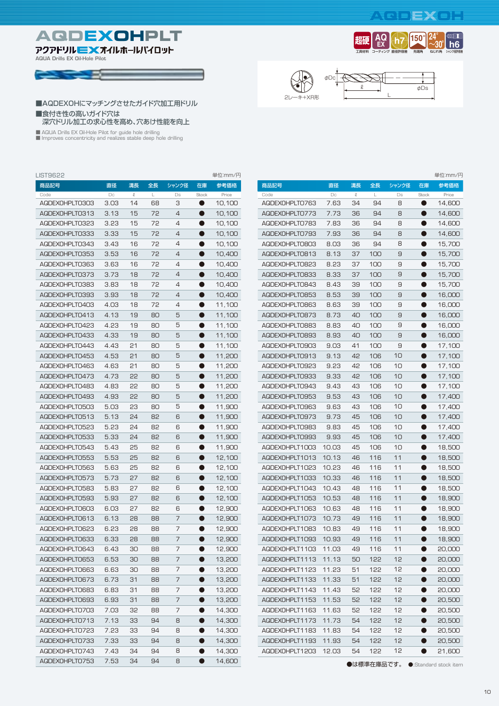## **AQDEXOH**

先端角 **150**

ねじれ角 **24** ~**30 h6**

シャンク径許容差



**AQUA Drills EX Oil-Hole Pilot**







直径許容差 **h7**

工具材料 **超硬 AQ EX** コーティング

#### ■AQDEXOHにマッチングさせたガイド穴加工用ドリル ■食付き性の高いガイド穴は 深穴ドリル加工の求心性を高め、穴あけ性能を向上

■ AQUA Drills EX Oil-Hole Pilot for guide hole drilling<br>■ Improves concentricity and realizes stable deep hole drilling

| <b>LIST9622</b> |      |           |    |                |           | 単位:mm/円 |
|-----------------|------|-----------|----|----------------|-----------|---------|
| 商品記号            | 直径   | 溝長        | 全長 | シャンク径          | 在庫        | 参考価格    |
| Code            | Dc   | $\varrho$ | L  | Ds             | Stock     | Price   |
| AQDEXOHPLTO3O3  | 3.03 | 14        | 68 | З              | $\bullet$ | 10,100  |
| AQDEXOHPLTO313  | 3.13 | 15        | 72 | $\overline{4}$ | $\bullet$ | 10,100  |
| AQDEXOHPLTO323  | 3.23 | 15        | 72 | 4              | ●         | 10,100  |
| AQDEXOHPLTO333  | 3.33 | 15        | 72 | 4              | 0         | 10,100  |
| AQDEXOHPLTO343  | 3.43 | 16        | 72 | 4              | ●         | 10,100  |
| AQDEXOHPLTO353  | 3.53 | 16        | 72 | 4              | 0         | 10,400  |
| AQDEXOHPLTO363  | 3.63 | 16        | 72 | 4              | ●         | 10,400  |
| AQDEXOHPLTO373  | 3.73 | 18        | 72 | $\overline{4}$ | ●         | 10,400  |
| AQDEXOHPLTO383  | 3.83 | 18        | 72 | 4              | Ð         | 10,400  |
| AQDEXOHPLTO393  | 3.93 | 18        | 72 | $\overline{4}$ | Ð         | 10,400  |
| AQDEXOHPLT0403  | 4.03 | 18        | 72 | 4              | D         | 11,100  |
| AQDEXOHPLTO413  | 4.13 | 19        | 80 | 5              |           | 11,100  |
| AQDEXOHPLTO423  | 4.23 | 19        | 80 | 5              | D         | 11,100  |
| AQDEXOHPLTO433  | 4.33 | 19        | 80 | 5              |           | 11,100  |
| AQDEXOHPLTO443  | 4.43 | 21        | 80 | 5              |           | 11,100  |
| AQDEXOHPLTO453  | 4.53 | 21        | 80 | 5              |           | 11,200  |
| AQDEXOHPLTO463  | 4.63 | 21        | 80 | 5              |           | 11,200  |
| AQDEXOHPLTO473  | 4.73 | 55        | 80 | 5              |           | 11,200  |
| AQDEXOHPLTO483  | 4.83 | 55        | 80 | 5              |           | 11,200  |
| AQDEXOHPLTO493  | 4.93 | 55        | 80 | 5              | D         | 11,200  |
| AQDEXOHPLTO503  | 5.03 | 23        | 80 | 5              |           | 11,900  |
| AQDEXOHPLTO513  | 5.13 | 24        | 82 | 6              | D         | 11,900  |
| AQDEXOHPLTO523  | 5.23 | 24        | 82 | 6              | D         | 11,900  |
| AQDEXOHPLTO533  | 5.33 | 24        | 82 | 6              | D         | 11,900  |
| AQDEXOHPLTO543  | 5.43 | 25        | 82 | 6              | D         | 11,900  |
| AQDEXOHPLTO553  | 5.53 | 25        | 82 | 6              | D         | 12,100  |
| AQDEXOHPLTO563  | 5.63 | 25        | 82 | 6              | D         | 12,100  |
| AQDEXOHPLTO573  | 5.73 | 27        | 82 | 6              | D         | 12,100  |
| AQDEXOHPLTO583  | 5.83 | 27        | 82 | 6              | D         | 12,100  |
| AQDEXOHPLTO593  | 5.93 | 27        | 82 | 6              | - 11      | 12,100  |
| AQDEXOHPLTO603  | 6.03 | 27        | 82 | 6              |           | 12,900  |
| AQDEXOHPLTO613  | 6.13 | 28        | 88 | 7              |           | 12,900  |
| AQDEXOHPLTO623  | 6.23 | 28        | 88 | 7              |           | 12,900  |
| AQDEXOHPLTO633  | 6.33 | 28        | 88 | 7              |           | 12,900  |
| AQDEXOHPLTO643  | 6.43 | 30        | 88 | 7              |           | 12,900  |
| AQDEXOHPLTO653  | 6.53 | 30        | 88 | 7              |           | 13,200  |
| AQDEXOHPLTO663  | 6.63 | 30        | 88 | 7              |           | 13,200  |
| AQDEXOHPLTO673  | 6.73 | 31        | 88 | 7              |           | 13,200  |
| AQDEXOHPLTO683  | 6.83 | 31        | 88 | 7              |           | 13,200  |
| AQDEXOHPLTO693  | 6.93 | 31        | 88 | 7              |           | 13,200  |
| AQDEXOHPLTO703  | 7.03 | 32        | 88 | 7              |           | 14,300  |
| AQDEXOHPLTO713  | 7.13 | 33        | 94 | 8              |           | 14,300  |
| AQDEXOHPLTO723  | 7.23 | 33        | 94 | 8              | D         | 14,300  |
| AQDEXOHPLTO733  | 7.33 | 33        | 94 | 8              | 0         | 14,300  |
| AQDEXOHPLTO743  | 7.43 | 34        | 94 | 8              | D         | 14,300  |
| AQDEXOHPLTO753  | 7.53 | 34        | 94 | 8              | 0         | 14,600  |

| LIST9622       |                   |        |    |                |           | 単位:mm/円 |                      |        |              |     |        |           | 単位:mm/円 |
|----------------|-------------------|--------|----|----------------|-----------|---------|----------------------|--------|--------------|-----|--------|-----------|---------|
| 商品記号           | 直径                | 溝長     | 全長 | シャンク径          | 在庫        | 参考価格    | 商品記号                 | 直径     | 溝長           | 全長  | シャンク径  | 在庫        | 参考価格    |
| Code           | $\Box \texttt{C}$ | $\ell$ | L  | Ds             | Stock     | Price   | Code                 | $\Box$ | $\mathcal Q$ | L   | $\Box$ | Stock     | Price   |
| AQDEXOHPLTO303 | 3.03              | 14     | 68 | 3              | ●         | 10,100  | AQDEXOHPLTO763       | 7.63   | 34           | 94  | 8      | $\bullet$ | 14,600  |
| AQDEXOHPLTO313 | 3.13              | 15     | 72 | 4              | O         | 10,100  | AQDEXOHPLTO773       | 7.73   | 36           | 94  | 8      | $\bullet$ | 14,600  |
| AQDEXOHPLTO323 | 3.23              | 15     | 72 | 4              | 0         | 10,100  | AQDEXOHPLTO783       | 7.83   | 36           | 94  | 8      | ●         | 14,600  |
| AQDEXOHPLTO333 | 3.33              | 15     | 72 | $\overline{4}$ | $\bullet$ | 10,100  | AQDEXOHPLTO793       | 7.93   | 36           | 94  | 8      | $\bullet$ | 14,600  |
| AQDEXOHPLTO343 | 3.43              | 16     | 72 | 4              | 0         | 10,100  | AQDEXOHPLTO803       | 8.03   | 36           | 94  | 8      | ●         | 15,700  |
| AQDEXOHPLTO353 | 3.53              | 16     | 72 | 4              | ●         | 10,400  | AQDEXOHPLTO813       | 8.13   | 37           | 100 | 9      | ●         | 15,700  |
| AQDEXOHPLTO363 | 3.63              | 16     | 72 | $\overline{4}$ | ●         | 10,400  | AQDEXOHPLTO823       | 8.23   | 37           | 100 | 9      | ●         | 15,700  |
| AQDEXOHPLTO373 | 3.73              | 18     | 72 | $\overline{4}$ | ●         | 10,400  | AQDEXOHPLTO833       | 8.33   | 37           | 100 | 9      | ●         | 15,700  |
| AQDEXOHPLTO383 | 3.83              | 18     | 72 | $\overline{4}$ | O         | 10,400  | AQDEXOHPLTO843       | 8.43   | 39           | 100 | 9      | ●         | 15,700  |
| AQDEXOHPLTO393 | 3.93              | 18     | 72 | $\overline{4}$ | Q         | 10,400  | AQDEXOHPLTO853       | 8.53   | 39           | 100 | 9      | ●         | 16,000  |
| AQDEXOHPLT0403 | 4.03              | 18     | 72 | 4              | Q         | 11,100  | AQDEXOHPLTO863       | 8.63   | 39           | 100 | 9      |           | 16,000  |
| AQDEXOHPLTO413 | 4.13              | 19     | 80 | 5              | Q         | 11,100  | AQDEXOHPLTO873       | 8.73   | 40           | 100 | 9      |           | 16,000  |
| AQDEXOHPLTO423 | 4.23              | 19     | 80 | 5              | ●         | 11,100  | AQDEXOHPLTO883       | 8.83   | 40           | 100 | 9      |           | 16,000  |
| AQDEXOHPLTO433 | 4.33              | 19     | 80 | 5              | Q         | 11,100  | AQDEXOHPLTO893       | 8.93   | 40           | 100 | 9      |           | 16,000  |
| AQDEXOHPLTO443 | 4.43              | 21     | 80 | 5              | O         | 11,100  | AQDEXOHPLTO903       | 9.03   | 41           | 100 | 9      |           | 17,100  |
| AQDEXOHPLTO453 | 4.53              | 21     | 80 | 5              | ●         | 11,200  | AQDEXOHPLTO913       | 9.13   | 42           | 106 | 10     |           | 17,100  |
| AQDEXOHPLTO463 | 4.63              | 21     | 80 | 5              |           | 11,200  | AQDEXOHPLTO923       | 9.23   | 42           | 106 | 10     |           | 17,100  |
| AQDEXOHPLTO473 | 4.73              | 55     | 80 | 5              |           | 11,200  | AQDEXOHPLTO933       | 9.33   | 42           | 106 | 10     |           | 17,100  |
| AQDEXOHPLTO483 | 4.83              | 55     | 80 | 5              | O         | 11,200  | AQDEXOHPLTO943       | 9.43   | 43           | 106 | 10     |           | 17,100  |
| AQDEXOHPLTO493 | 4.93              | 55     | 80 | 5              | O         | 11,200  | AQDEXOHPLTO953       | 9.53   | 43           | 106 | 10     |           | 17,400  |
| AQDEXOHPLT0503 | 5.03              | 23     | 80 | 5              | O         | 11,900  | AQDEXOHPLTO963       | 9.63   | 43           | 106 | 10     |           | 17,400  |
| AQDEXOHPLTO513 | 5.13              | 24     | 82 | 6              | 0         | 11,900  | AQDEXOHPLTO973       | 9.73   | 45           | 106 | 10     |           | 17,400  |
| AQDEXOHPLTO523 | 5.23              | 24     | 82 | 6              | 0         | 11,900  | AQDEXOHPLTO983       | 9.83   | 45           | 106 | 10     |           | 17,400  |
| AQDEXOHPLTO533 | 5.33              | 24     | 82 | 6              | $\bullet$ | 11,900  | AQDEXOHPLTO993       | 9.93   | 45           | 106 | 10     | $\bullet$ | 17,400  |
| AQDEXOHPLTO543 | 5.43              | 25     | 82 | 6              | ●         | 11,900  | AQDEXOHPLT1003       | 10.03  | 45           | 106 | 10     |           | 18,500  |
| AQDEXOHPLT0553 | 5.53              | 25     | 82 | 6              | ●         | 12,100  | AQDEXOHPLT1013       | 10.13  | 46           | 116 | 11     | $\bullet$ | 18,500  |
| AQDEXOHPLTO563 | 5.63              | 25     | 82 | 6              | ●         | 12,100  | AQDEXOHPLT1023       | 10.23  | 46           | 116 | 11     | $\bullet$ | 18,500  |
| AQDEXOHPLT0573 | 5.73              | 27     | 82 | 6              | $\bullet$ | 12,100  | AQDEXOHPLT1033       | 10.33  | 46           | 116 | 11     | $\bullet$ | 18,500  |
| AQDEXOHPLTO583 | 5.83              | 27     | 82 | 6              | ●         | 12,100  | AQDEXOHPLT1043       | 10.43  | 48           | 116 | 11     | $\bullet$ | 18,500  |
| AQDEXOHPLTO593 | 5.93              | 27     | 82 | 6              | $\bullet$ | 12,100  | AQDEXOHPLT1053       | 10.53  | 48           | 116 | 11     | $\bullet$ | 18,900  |
| AQDEXOHPLTO603 | 6.03              | 27     | 82 | 6              | $\bullet$ | 12,900  | AQDEXOHPLT1063       | 10.63  | 48           | 116 | 11     | $\bullet$ | 18,900  |
| AQDEXOHPLTO613 | 6.13              | 28     | 88 | 7              | $\bullet$ | 12,900  | AQDEXOHPLT1073       | 10.73  | 49           | 116 | 11     | $\bullet$ | 18,900  |
| AQDEXOHPLTO623 | 6.23              | 28     | 88 | 7              | $\bullet$ | 12,900  | AQDEXOHPLT1083       | 10.83  | 49           | 116 | 11     |           | 18,900  |
| AQDEXOHPLTO633 | 6.33              | 28     | 88 | $\overline{7}$ | $\bullet$ | 12,900  | AQDEXOHPLT1093       | 10.93  | 49           | 116 | 11     | $\bullet$ | 18,900  |
| AQDEXOHPLTO643 | 6.43              | 30     | 88 | 7              | ●         | 12,900  | AQDEXOHPLT1103 11.03 |        | 49           | 116 | 11     |           | 20,000  |
| AQDEXOHPLTO653 | 6.53              | 30     | 88 | 7              | $\bullet$ | 13,200  | AGDEXOHPLT1113 11.13 |        | 50           | 122 | 12     | $\bullet$ | 20,000  |
| AGDEXOHPLTO663 | 6.63              | 30     | 88 | 7              | $\bullet$ | 13,200  | AQDEXOHPLT1123       | 11.23  | 51           | 122 | 12     |           | 20,000  |
| AQDEXOHPLTO673 | 6.73              | 31     | 88 | 7              | $\bullet$ | 13,200  | AQDEXOHPLT1133       | 11.33  | 51           | 122 | 12     | $\bullet$ | 20,000  |
| AGDEXOHPLTO683 | 6.83              | 31     | 88 | 7              | $\bullet$ | 13,200  | AGDEXOHPLT1143       | 11.43  | 52           | 122 | 12     | $\bullet$ | 20,000  |
| AQDEXOHPLTO693 | 6.93              | 31     | 88 | 7              | $\bullet$ | 13,200  | AQDEXOHPLT1153       | 11.53  | 52           | 122 | 12     | $\bullet$ | 20,500  |
| AQDEXOHPLTO703 | 7.03              | 35     | 88 | 7              | $\bullet$ | 14,300  | AGDEXOHPLT1163       | 11.63  | 52           | 122 | 12     | $\bullet$ | 20,500  |
| AQDEXOHPLTO713 | 7.13              | 33     | 94 | 8              | $\bullet$ | 14,300  | AQDEXOHPLT1173       | 11.73  | 54           | 122 | 12     | $\bullet$ | 20,500  |
| AGDEXOHPLTO723 | 7.23              | 33     | 94 | 8              | $\bullet$ | 14,300  | AGDEXOHPLT1183       | 11.83  | 54           | 122 | 12     | $\bullet$ | 20,500  |
| AGDEXOHPLTO733 | 7.33              | 33     | 94 | 8              | $\bullet$ | 14,300  | AQDEXOHPLT1193 11.93 |        | 54           | 122 | 12     | $\bullet$ | 20,500  |
| AGDEXOHPLTO743 | 7.43              | 34     | 94 | 8              | $\bullet$ | 14,300  | AQDEXOHPLT1203 12.03 |        | 54           | 122 | 12     |           | 21,600  |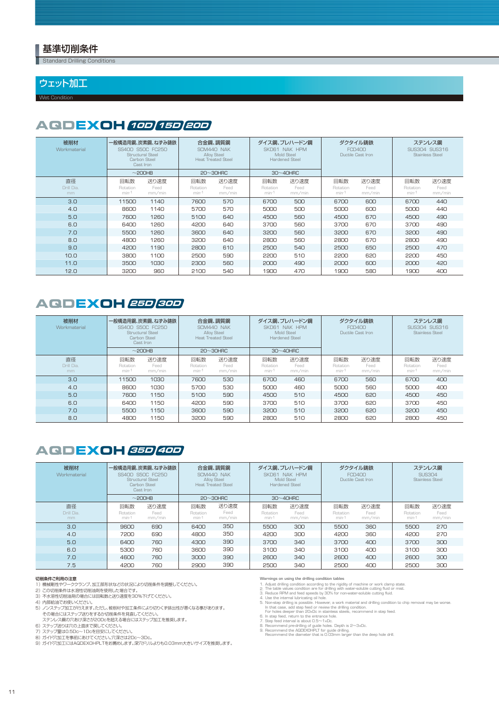#### 基準切削条件

**Standard Drilling Conditions** 

#### ウェット加工

Wet Condition

## **AQDEXOH 10D 15D 20D**

| 被削材<br>Workmaterial    | 一般構造用鋼、炭素鋼、ねずみ鋳鉄<br>SS400 S50C FC250<br><b>Structural Steel</b><br>Carbon Steel<br>Cast Iron |                        | 合金鋼、調質鋼<br>SCM440 NAK<br>Alloy Steel<br><b>Heat Treated Steel</b> |                        | ダイス鋼、プレハードン鋼<br>SKD61 NAK HPM<br>Mold Steel<br><b>Hardened Steel</b> |                        | ダクタイル鋳鉄<br><b>FCD400</b><br>Ductile Cast Iron |                        | ステンレス鋼<br>SUS304 SUS316<br><b>Stainless Steel</b> |                        |
|------------------------|----------------------------------------------------------------------------------------------|------------------------|-------------------------------------------------------------------|------------------------|----------------------------------------------------------------------|------------------------|-----------------------------------------------|------------------------|---------------------------------------------------|------------------------|
|                        |                                                                                              | $\sim$ 200HB           |                                                                   | $20 \sim 30$ HRC       |                                                                      | $30~40$ HRC            |                                               |                        |                                                   |                        |
| 直径<br>Drill Dia.<br>mm | 回転数<br>Rotation<br>min-1                                                                     | 送り速度<br>Feed<br>mm/min | 回転数<br>Rotation<br>$min-1$                                        | 送り速度<br>Feed<br>mm/min | 回転数<br>Rotation<br>$min-1$                                           | 送り速度<br>Feed<br>mm/min | 回転数<br>Rotation<br>$min-1$                    | 送り速度<br>Feed<br>mm/min | 回転数<br>Rotation<br>$min-1$                        | 送り速度<br>Feed<br>mm/min |
| 3.0                    | 11500                                                                                        | 1140                   | 7600                                                              | 570                    | 6700                                                                 | 500                    | 6700                                          | 600                    | 6700                                              | 440                    |
| 4.0                    | 8600                                                                                         | 1140                   | 5700                                                              | 570                    | 5000                                                                 | 500                    | 5000                                          | 600                    | 5000                                              | 440                    |
| 5.0                    | 7600                                                                                         | 1260                   | 5100                                                              | 640                    | 4500                                                                 | 560                    | 4500                                          | 670                    | 4500                                              | 490                    |
| 6.0                    | 6400                                                                                         | 1260                   | 4200                                                              | 640                    | 3700                                                                 | 560                    | 3700                                          | 670                    | 3700                                              | 490                    |
| 7.0                    | 5500                                                                                         | 1260                   | 3600                                                              | 640                    | 3200                                                                 | 560                    | 3200                                          | 670                    | 3200                                              | 490                    |
| 8.0                    | 4800                                                                                         | 1260                   | 3200                                                              | 640                    | 2800                                                                 | 560                    | 2800                                          | 670                    | 2800                                              | 490                    |
| 9.0                    | 4200                                                                                         | 1190                   | 2800                                                              | 610                    | 2500                                                                 | 540                    | 2500                                          | 650                    | 2500                                              | 470                    |
| 10.0                   | 3800                                                                                         | 1100                   | 2500                                                              | 590                    | 2200                                                                 | 510                    | 2200                                          | 620                    | 2200                                              | 450                    |
| 11.0                   | 3500                                                                                         | 1030                   | 2300                                                              | 560                    | 2000                                                                 | 490                    | 2000                                          | 600                    | 2000                                              | 420                    |
| 12.0                   | 3200                                                                                         | 960                    | 2100                                                              | 540                    | 1900                                                                 | 470                    | 1900                                          | 580                    | 1900                                              | 400                    |

### **25D 30D AQDEXOH**

| 被削材<br>Workmaterial    |                          | 一般構造用鋼、炭素鋼、ねずみ鋳鉄<br>SS400 S50C FC250<br>Structural Steel<br>Carbon Steel<br>Cast Iron<br>$\sim$ 200HB |                          | 合金鋼、調質鋼<br>SCM440 NAK<br>Alloy Steel<br>Heat, Treated Steel<br>$20 \sim 30$ HRC |                          | ダイス鋼、プレハードン鋼<br>SKD61 NAK HPM<br>Mold Steel<br><b>Hardened Steel</b><br>$30 \sim 40$ HRC |                                                    | ダクタイル鋳鉄<br><b>FCD400</b><br>Ductile Cast Iron |                            | ステンレス鋼<br>SUS304 SUS316<br><b>Stainless Steel</b> |
|------------------------|--------------------------|-------------------------------------------------------------------------------------------------------|--------------------------|---------------------------------------------------------------------------------|--------------------------|------------------------------------------------------------------------------------------|----------------------------------------------------|-----------------------------------------------|----------------------------|---------------------------------------------------|
| 直径<br>Drill Dia.<br>mm | 回転数<br>Rotation<br>min-1 | 送り速度<br>Feed<br>mm/min                                                                                | 回転数<br>Rotation<br>min-1 | 送り速度<br>Feed<br>mm/min                                                          | 回転数<br>Rotation<br>min-1 | 送り速度<br>Feed<br>mm/min                                                                   | 回転数<br>送り速度<br>Rotation<br>Feed<br>min-1<br>mm/min |                                               | 回転数<br>Rotation<br>$min-1$ | 送り速度<br>Feed<br>mm/min                            |
| 3.0                    | 11500                    | 1030                                                                                                  | 7600                     | 530                                                                             | 6700                     | 460                                                                                      | 6700                                               | 560                                           | 6700                       | 400                                               |
| 4.0                    | 8600                     | 1030                                                                                                  | 5700                     | 530                                                                             | 5000                     | 460                                                                                      | 5000                                               | 560                                           | 5000                       | 400                                               |
| 5.0                    | 7600                     | 1150                                                                                                  | 5100                     | 590                                                                             | 4500                     | 510                                                                                      | 4500                                               | 620                                           | 4500                       | 450                                               |
| 6.0                    | 6400                     | 1150                                                                                                  | 4200                     | 590                                                                             | 3700                     | 510                                                                                      | 3700                                               | 620                                           | 3700                       | 450                                               |
| 7.0                    | 5500                     | 1150                                                                                                  | 3600                     | 590                                                                             | 3200                     | 510                                                                                      | 3200                                               | 620                                           | 3200                       | 450                                               |
| 8.0                    | 4800                     | 1150                                                                                                  | 3200                     | 590                                                                             | 2800                     | 510                                                                                      | 2800                                               | 620                                           | 2800                       | 450                                               |

## **35D 40D AQDEXOH**

| 被削材<br>Workmaterial    | 一般構造用鋼、炭素鋼、ねずみ鋳鉄<br>SS400 S50C EC250<br>Structural Steel<br>Carbon Steel<br>Cast Iron |                        | 合金鋼、調質鋼<br>SCM440 NAK<br>Alloy Steel<br><b>Heat Treated Steel</b> |                        |                            | ダイス鋼、プレハードン鋼<br>SKD61 NAK HPM<br>Mold Steel<br>Hardened Steel |                            | ダクタイル鋳鉄<br><b>FCD400</b><br>Ductile Cast Iron | ステンレス鋼<br><b>SUS304</b><br><b>Stainless Steel</b> |                        |  |
|------------------------|---------------------------------------------------------------------------------------|------------------------|-------------------------------------------------------------------|------------------------|----------------------------|---------------------------------------------------------------|----------------------------|-----------------------------------------------|---------------------------------------------------|------------------------|--|
|                        |                                                                                       | $\sim$ 200HB           |                                                                   | $20 \sim 30$ HRC       |                            | $30 \sim 40$ HRC                                              |                            |                                               |                                                   |                        |  |
| 直径<br>Drill Dia.<br>mm | 回転数<br>Rotation<br>$min-1$                                                            | 送り速度<br>Feed<br>mm/min | 回転数<br>Rotation<br>$min-1$                                        | 送り速度<br>Feed<br>mm/min | 回転数<br>Rotation<br>$min-1$ | 送り速度<br>Feed<br>mm/min                                        | 回転数<br>Rotation<br>$min-1$ | 送り速度<br>Feed<br>mm/min                        | 回転数<br>Rotation<br>$min-1$                        | 送り速度<br>Feed<br>mm/min |  |
| 3.0                    | 9600                                                                                  | 690                    | 6400                                                              | 350                    | 5500                       | 300                                                           | 5500                       | 360                                           | 5500                                              | 270                    |  |
| 4.0                    | 7200                                                                                  | 690                    | 4800                                                              | 350                    | 4200                       | 300                                                           | 4200                       | 360                                           | 4200                                              | 270                    |  |
| 5.0                    | 6400                                                                                  | 760                    | 4300                                                              | 390                    | 3700                       | 340                                                           | 3700                       | 400                                           | 3700                                              | 300                    |  |
| 6.0                    | 5300                                                                                  | 760                    | 3600                                                              | 390                    | 3100                       | 340                                                           | 3100                       | 400                                           | 3100                                              | 300                    |  |
| 7.0                    | 4600                                                                                  | 760                    | 3000                                                              | 390                    | 2600                       | 340                                                           | 2600                       | 400                                           | 2600                                              | 300                    |  |
| 7.5                    | 4200                                                                                  | 760                    | 2900                                                              | 390                    | 2500                       | 340                                                           | 2500                       | 400                                           |                                                   | 300                    |  |

#### 切削条件ご利用の注意

- 
- 1) 2) 3) 機械剛性やワーククランプ、加工部形状などの状況により切削条件を調整してください。<br>この切削条件は水溶性切削油剤を使用した場合です。<br>不水溶性切削油剤の場合には回転数と送り速度を30%下げてください。
- 
- 4) 5)
- 内部給油でお使いください。<br>ノンステップ加工が行えます。ただし、被削材や加工条件により切りくす排出性が悪くなる事があります。<br>その場合にはステップ送りをするか切削条件を見直してください。<br>ステップ送りは穴の上面まで戻してください。<br>ステップ送りは穴の上面まで戻してください。<br>ステップ選は0.5Dc〜1Dcを目安にしてください。<br>ガイド穴加工にはAQDEXOHPLTをお薦めします。深穴ドリルよりも0.03mm大きいサイズを推奨します。<br>ガ
- 
- 
- 6) 7) 8) 9)
- 

- 
- **Warnings on using the drilling condition tables**<br>1. Adjust drilling condition according to the rigid<br>2. The table values condition are for drilling with<br>3. Reduce RPM and feed speeds by 30% for no<br>4. Use the internal lubr

- Adjust drilling condition according to the rigidity of machine or work clamp state.<br>The table values condition are for drilling with water-soluble cutting fluid or mist.<br>Reduce RPM and feed speeds by 30% for non-water-solu
- 
- 6. 7. 8. 9.
- 
-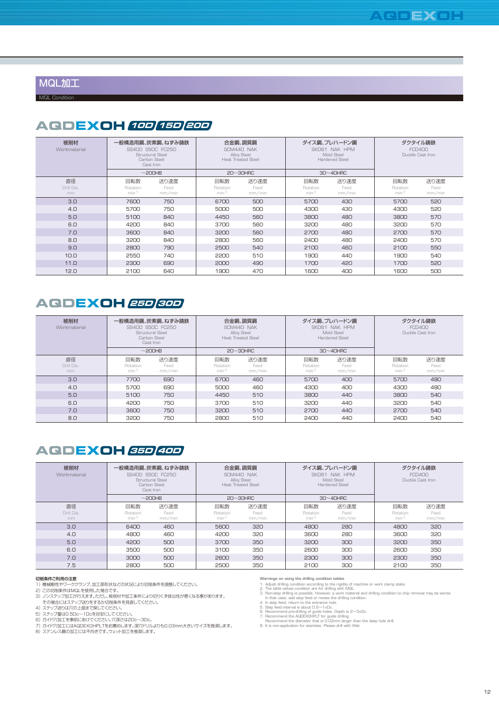MQL加工

MQL Condition

## **AQDEXOH 10D 15D 20D**

| 被削材<br>Workmaterial    | 一般構造用鋼、炭素鋼、ねずみ鋳鉄<br>SS400 S50C FC250<br>Structural Steel<br>Carbon Steel<br>Cast Iron<br>$\sim$ 200HB |                        |                          | 合金鋼、調質鋼<br>SCM440 NAK<br>Alloy Steel<br>Heat, Treated Steel<br>$20 \sim 30$ HRC |                            | ダイス鋼、プレハードン鋼<br>SKD61 NAK HPM<br>Mold Steel<br>Hardened Steel<br>$30~40$ HRC | ダクタイル鋳鉄<br><b>FCD400</b><br>Ductile Cast Iron |                        |  |
|------------------------|-------------------------------------------------------------------------------------------------------|------------------------|--------------------------|---------------------------------------------------------------------------------|----------------------------|------------------------------------------------------------------------------|-----------------------------------------------|------------------------|--|
| 直径<br>Drill Dia.<br>mm | 回転数<br>Rotation<br>$min-1$                                                                            | 送り速度<br>Feed<br>mm/min | 回転数<br>Rotation<br>min-1 | 送り速度<br>Feed<br>mm/min                                                          | 回転数<br>Rotation<br>$min-1$ | 送り速度<br>Feed<br>mm/min                                                       | 回転数<br>Rotation<br>$min-1$                    | 送り速度<br>Feed<br>mm/min |  |
| 3.0                    | 7600                                                                                                  | 750                    | 6700                     | 500                                                                             | 5700                       | 430                                                                          | 5700                                          | 520                    |  |
| 4.0                    | 5700                                                                                                  | 750                    | 5000                     | 500                                                                             | 4300                       | 430                                                                          | 4300                                          | 520                    |  |
| 5.0                    | 5100                                                                                                  | 840                    | 4450                     | 560                                                                             | 3800                       | 480                                                                          | 3800                                          | 570                    |  |
| 6.0                    | 4200                                                                                                  | 840                    | 3700                     | 560                                                                             | 3200                       | 480                                                                          | 3200                                          | 570                    |  |
| 7.0                    | 3600                                                                                                  | 840                    | 3200                     | 560                                                                             | 2700                       | 480                                                                          | 2700                                          | 570                    |  |
| 8.0                    | 3200                                                                                                  | 840                    | 2800                     | 560                                                                             | 2400                       | 480                                                                          | 2400                                          | 570                    |  |
| 9.0                    | 2800                                                                                                  | 790                    | 2500                     | 540                                                                             | 2100                       | 460                                                                          | 2100                                          | 550                    |  |
| 10.0                   | 2550                                                                                                  | 740                    | 2200                     | 510                                                                             | 1900                       | 440                                                                          | 1900                                          | 540                    |  |
| 11.0                   | 2300                                                                                                  | 690                    | 2000                     | 490                                                                             | 1700                       | 420                                                                          | 1700                                          | 520                    |  |
| 12.0                   | 2100                                                                                                  | 640                    | 1900                     | 470                                                                             | 1600                       | 400                                                                          | 1600                                          | 500                    |  |

### **25D 30D AQDEXOH**

| 被削材<br>Workmaterial    | 一般構造用鋼、炭素鋼、ねずみ鋳鉄<br>SS400 S50C FC250<br>Structural Steel<br>Carbon Steel<br>Cast Iron<br>$\sim$ 200HB |                        |                          | 合金鋼、調質鋼<br>SCM440 NAK<br>Alloy Steel<br>Heat Treated Steel<br>$20 \sim 30$ HRC |                            | ダイス鋼、プレハードン鋼<br>SKD61 NAK HPM<br>Mold Steel<br>Hardened Steel<br>$30 \sim 40$ HRC | ダクタイル鋳鉄<br><b>FCD400</b><br>Ductile Cast Iron |                        |  |
|------------------------|-------------------------------------------------------------------------------------------------------|------------------------|--------------------------|--------------------------------------------------------------------------------|----------------------------|-----------------------------------------------------------------------------------|-----------------------------------------------|------------------------|--|
| 直径<br>Drill Dia.<br>mm | 回転数<br>Rotation<br>$min-1$                                                                            | 送り速度<br>Feed<br>mm/min | 回転数<br>Rotation<br>min-1 | 送り速度<br>Feed<br>mm/min                                                         | 回転数<br>Rotation<br>$min-1$ | 送り速度<br>Feed<br>mm/min                                                            | 回転数<br>Rotation<br>$min-1$                    | 送り速度<br>Feed<br>mm/min |  |
| 3.0                    | 7700                                                                                                  | 690                    | 6700                     | 460                                                                            | 5700                       | 400                                                                               | 5700                                          | 480                    |  |
| 4.0                    | 5700                                                                                                  | 690                    | 5000                     | 460                                                                            | 4300                       | 400                                                                               | 4300                                          | 480                    |  |
| 5.0                    | 5100                                                                                                  | 750                    | 4450                     | 510                                                                            | 3800                       | 440                                                                               | 3800                                          | 540                    |  |
| 6.0                    | 4200                                                                                                  | 750                    | 3700                     | 510                                                                            | 3200                       | 440                                                                               | 3200                                          | 540                    |  |
| 7.0                    | 3600                                                                                                  | 750                    | 3200                     | 510                                                                            | 2700                       | 440                                                                               | 2700                                          | 540                    |  |
| 8.0                    | 3200                                                                                                  | 750                    | 2800                     | 510                                                                            | 2400                       | 440                                                                               | 2400                                          | 540                    |  |

## **35D 40D AQDEXOH**

| 被削材<br>Workmaterial | 一般構造用鋼、炭素鋼、ねずみ鋳鉄<br>SS400 S50C FC250<br>Structural Steel<br>Carbon Steel<br>Cast Iron<br>$\sim$ 200HB |                |                   | 合金鋼、調質鋼<br>SCM440 NAK<br>Alloy Steel<br>Heat Treated Steel |                   | ダイス鋼、プレハードン鋼<br>SKD61 NAK HPM<br>Mold Steel<br><b>Hardened Steel</b> | ダクタイル鋳鉄<br><b>FCD400</b><br>Ductile Cast Iron |                |  |
|---------------------|-------------------------------------------------------------------------------------------------------|----------------|-------------------|------------------------------------------------------------|-------------------|----------------------------------------------------------------------|-----------------------------------------------|----------------|--|
| 直径                  | 回転数                                                                                                   | 送り速度           | 回転数               | $20 \sim 30$ HRC<br>送り速度                                   | 回転数               | $30 \sim 40$ HRC<br>送り速度                                             | 回転数                                           | 送り速度           |  |
| Drill Dia.<br>mm    | Rotation<br>$min-1$                                                                                   | Feed<br>mm/min | Rotation<br>min-1 | Feed<br>mm/min                                             | Rotation<br>min-1 | Feed<br>mm/min                                                       | Rotation<br>$min-1$                           | Feed<br>mm/min |  |
| 3.0 <sub>2</sub>    | 6400                                                                                                  | 460            | 5600              | 320                                                        | 4800              | 280                                                                  | 4800                                          | 320            |  |
| 4.0                 | 4800                                                                                                  | 460            | 4200              | 320                                                        | 3600              | 280                                                                  | 3600                                          | 320            |  |
| 5.0                 | 4200                                                                                                  | 500            | 3700              | 350                                                        | 3200              | 300                                                                  | 3200                                          | 350            |  |
| 6.0                 | 3500                                                                                                  | 500            | 3100              | 350                                                        | 2600              | 300                                                                  | 2600                                          | 350            |  |
| 7.0                 | 3000                                                                                                  | 500            | 2600              | 350                                                        | 2300              | 300                                                                  | 2300                                          | 350            |  |
| 7.5                 | 2800                                                                                                  | 500            | 2500              | 350                                                        | 2100              | 300                                                                  | 2100                                          | 350            |  |

#### 切削条件ご利用の注意

- 
- 1) 2) 3)
- 機械剛性やワーククランプ、加工部形状などの状況により切削条件を調整してください。<br>この切削条件はMQLを使用した場合です。<br>ノンステップ加工が行えます。ただし、被削材や加工条件により切りくず排出性が悪くなる事があります。
- 
- 4) 5) 6) 7) 8)
- 
- 
- その場合にはステップ送りをするか切削条件を見直してください。<br>ステップ室は0.5Dc上面までするか切削条件を見直してください。<br>ステップ室は0.5Dc~1Dcを目安にしてください。<br>ガイド穴加工にはAQDEXOHPLTをお薦めします。深穴ドリルよりも0.03mm大きいサイズを推奨します。<br>ステンレス鋼の加工には不向きです。ウェット加工を推奨します。

**Warnings on using the drilling condition tables**<br>1. Adjust drilling condition according to the rigid<br>2. The table values condition are for drilling with<br>3. Non-step drilling is possible. However, a work Adjust drilling condition according to the rigidity of machine or work clamp state.<br>The table values condition are for drilling with MGL.<br>Non-step drilling is possible. However, a work material and drilling condition to ch

4. 5. 6. 7.

8.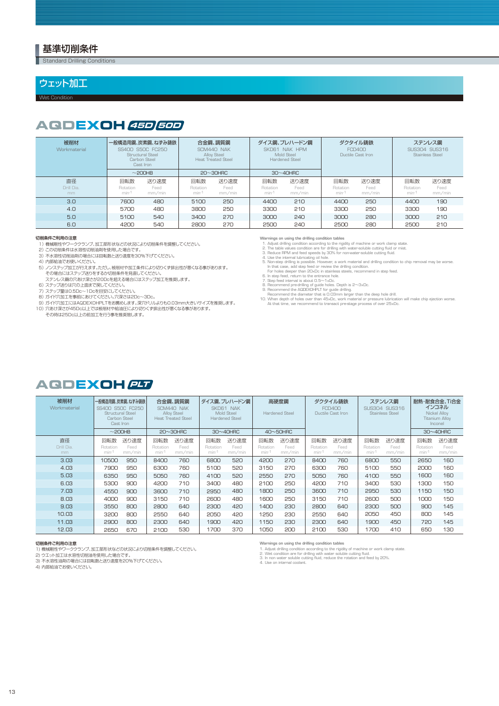#### 基準切削条件

**Standard Drilling Conditions** 

#### ウェット加工

Wet Condition

## **45D 50D AQDEXOH**

| 被削材<br>Workmaterial    | 一般構造用鋼、炭素鋼、ねずみ鋳鉄<br>SS400 S50C FC250<br>Structural Steel<br>Carbon Steel<br>Cast Iron |                        | 合金鋼、調質鋼<br>SCM440 NAK<br>Alloy Steel<br><b>Heat Treated Steel</b> |                        |                            | ダイス鋼、プレハードン鋼<br>SKD61 NAK HPM<br>Mold Steel<br><b>Hardened Steel</b> |                            | ダクタイル鋳鉄<br><b>FCD400</b><br>Ductile Cast Iron | ステンレス鋼<br>SUS304 SUS316<br><b>Stainless Steel</b> |                        |
|------------------------|---------------------------------------------------------------------------------------|------------------------|-------------------------------------------------------------------|------------------------|----------------------------|----------------------------------------------------------------------|----------------------------|-----------------------------------------------|---------------------------------------------------|------------------------|
|                        |                                                                                       | $\sim$ 200HB           |                                                                   | $20 \sim 30$ HRC       |                            | $30 \sim 40$ HRC                                                     |                            |                                               |                                                   |                        |
| 直径<br>Drill Dia.<br>mm | 回転数<br>Rotation<br>min-1                                                              | 送り速度<br>Feed<br>mm/min | 回転数<br>Rotation<br>min-1                                          | 送り速度<br>Feed<br>mm/min | 回転数<br>Rotation<br>$min-1$ | 送り速度<br>Feed<br>mm/min                                               | 回転数<br>Rotation<br>$min-1$ | 送り速度<br>Feed<br>mm/min                        | 回転数<br>Rotation<br>$min-1$                        | 送り速度<br>Feed<br>mm/min |
| 3.0                    | 7600                                                                                  | 480                    | 5100                                                              | 250                    | 4400                       | 210                                                                  | 4400                       | 250                                           | 4400                                              | 190                    |
| 4.0                    | 5700                                                                                  | 480                    | 3800                                                              | 250                    | 3300                       | 210                                                                  | 3300                       | 250                                           | 3300                                              | 190                    |
| 5.0                    | 5100                                                                                  | 540                    | 3400                                                              | 270                    | 3000                       | 240                                                                  | 3000                       | 280                                           | 3000                                              | 210                    |
| 6.0                    | 4200                                                                                  | 540                    | 2800                                                              | 270                    | 2500                       | 240                                                                  | 2500                       | 280                                           | 2500                                              | 210                    |

#### 切削条件ご利用の注意

1) 2) 機械剛性やワーククランプ、加工部形状などの状況により切削条件を調整してください。 この切削条件は水溶性切削油剤を使用した場合です。

- 
- 
- 3) 4) 不水溶性切削油剤の場合には回転数と送り速度を30%下げてください。 内部給油でお使いください。
- 5) ノンステップ加工が行えます。ただし、被削材や加工条件により切りくず排出性が悪くなる事があります。 その場合にはステップ送りをするか切削条件を見直してください。
- 6) ステンレス鋼の穴あけ深さが20Dcを超える場合にはステップ加工を推奨します。 ステップ送りは穴の上面まで戻してください。
- 
- 
- 
- 7) 8) 9) 10) ステップ量は0.5Dc~1Dcを目安にしてください。<br>ガイド穴加工を事前にあけてください。穴深さは2Dc~3Dc。<br>ガイド穴加工にはAQDEXOHPLTをお薦めします。深穴ドリルよりも0.03mm大きいサイズを推奨します。<br>穴あけ深さが45Dc以上では被削材や給油圧により切りくず排出性が悪くなる事があります。 ーマンの前には ファーマンス この はんか アイマン アクリアルコット コールファーマン アクセル アイファイル しょうしゃ

- 
- 
- 
- Warnings on using the drilling condition tables<br>
1. Adjust drilling condition according to the rigi<br>
2. The table values condition are for drilling with<br>
3. Reduce RPM and feed speeds by 30% for n<br>
4. Use the internal lubr
- Adjust drilling condition according to the rigidity of machine or work clamp state.<br>The table values condition are for drilling with water-soluble cutting fluid or mist.<br>Beduce RPM and feed speeds by 30% for non-water-solu
	-
	-
- 6. 7. 8. 9.
- 10.
- 

## **PLT AQDEXOH**

| 被削材<br>Workmaterial    | 一般構造用鋼、炭素鋼、ねずみ鋳鉄<br>SS400 S50C FC250<br>Structural Steel<br>Carbon Steel<br>Cast Iron<br>$\sim$ 200HB |                        |                          | 合金鋼、調質鋼<br>SCM440 NAK<br><b>Alloy Steel</b><br><b>Heat Treated Steel</b><br>$20 \sim 30$ HRC |                          | ダイス鋼、プレハードン鋼<br>SKD61 NAK<br><b>Mold Steel</b><br><b>Hardened Steel</b><br>$30 \sim 40$ HRC |                          | 高硬度鋼<br><b>Hardened Steel</b><br>$40\nthicksim50$ HRC | ダクタイル鋳鉄<br><b>FCD400</b><br>Ductile Cast Iron |                        | ステンレス鋼<br>SUS304 SUS316<br><b>Stainless Steel</b> |                        | 耐熱·耐食合金、Ti合金<br>インコネル<br>Nickel Allov<br><b>Titanium Alloy</b><br>Inconel<br>$30 \sim 40$ HRC |                        |
|------------------------|-------------------------------------------------------------------------------------------------------|------------------------|--------------------------|----------------------------------------------------------------------------------------------|--------------------------|---------------------------------------------------------------------------------------------|--------------------------|-------------------------------------------------------|-----------------------------------------------|------------------------|---------------------------------------------------|------------------------|-----------------------------------------------------------------------------------------------|------------------------|
| 直径<br>Drill Dia.<br>mm | 回転数<br>Rotation<br>min-1                                                                              | 送り速度<br>Feed<br>mm/min | 回転数<br>Rotation<br>min-1 | 送り速度<br>Feed<br>mm/min                                                                       | 回転数<br>Rotation<br>min-1 | 送り速度<br>Feed<br>mm/min                                                                      | 回転数<br>Rotation<br>min-1 | 送り速度<br>Feed<br>mm/min                                | 回転数<br>Rotation<br>min-1                      | 送り速度<br>Feed<br>mm/min | 回転数<br>Rotation<br>min-1                          | 送り速度<br>Feed<br>mm/min | 回転数<br>Rotation<br>min-1                                                                      | 送り速度<br>Feed<br>mm/min |
| 3.03                   | 10500                                                                                                 | 950                    | 8400                     | 760                                                                                          | 6800                     | 520                                                                                         | 4200                     | 270                                                   | 8400                                          | 760                    | 6800                                              | 550                    | 2650                                                                                          | 160                    |
| 4.03                   | 7900                                                                                                  | 950                    | 6300                     | 760                                                                                          | 5100                     | 520                                                                                         | 3150                     | 270                                                   | 6300                                          | 760                    | 5100                                              | 550                    | 2000                                                                                          | 160                    |
| 5.03                   | 6350                                                                                                  | 950                    | 5050                     | 760                                                                                          | 4100                     | 520                                                                                         | 2550                     | 270                                                   | 5050                                          | 760                    | 4100                                              | 550                    | 1600                                                                                          | 160                    |
| 6.03                   | 5300                                                                                                  | 900                    | 4200                     | 710                                                                                          | 3400                     | 480                                                                                         | 2100                     | 250                                                   | 4200                                          | 710                    | 3400                                              | 530                    | 1300                                                                                          | 150                    |
| 7.03                   | 4550                                                                                                  | 900                    | 3600                     | 710                                                                                          | 2950                     | 480                                                                                         | 1800                     | 250                                                   | 3600                                          | 710                    | 2950                                              | 530                    | 1150                                                                                          | 150                    |
| 8.03                   | 4000                                                                                                  | 900                    | 3150                     | 710                                                                                          | 2600                     | 480                                                                                         | 1600                     | 250                                                   | 3150                                          | 710                    | 2600                                              | 500                    | 1000                                                                                          | 150                    |
| 9.03                   | 3550                                                                                                  | 800                    | 2800                     | 640                                                                                          | 2300                     | 420                                                                                         | 1400                     | 230                                                   | 2800                                          | 640                    | 2300                                              | 500                    | 900                                                                                           | 145                    |
| 10.03                  | 3200                                                                                                  | 800                    | 2550                     | 640                                                                                          | 2050                     | 420                                                                                         | 1250                     | 230                                                   | 2550                                          | 640                    | 2050                                              | 450                    | 800                                                                                           | 145                    |
| 11.03                  | 2900                                                                                                  | 800                    | 2300                     | 640                                                                                          | 1900                     | 420                                                                                         | 1150                     | 230                                                   | 2300                                          | 640                    | 1900                                              | 450                    | 720                                                                                           | 145                    |
| 12.03                  | 2650                                                                                                  | 670                    | 2100                     | 530                                                                                          | 1700                     | 370                                                                                         | 1050                     | 200                                                   | 2100                                          | 530                    | 1700                                              | 410                    | 650                                                                                           | 130                    |

#### 切削条件ご利用の注意

1) 機械剛性やワーククランプ、加工部形状などの状況により切削条件を調整してください。<br>2) ウエット加工は水溶性切削油を使用した場合です。<br>3) 不水溶性油剤の場合には回転数と送り速度を20%下げてください。

4) 内部給油でお使いください。

Warnings on using the drilling condition tables<br>1. Adjust drilling condition according to the rigidity of machine or work clamp state.<br>2. Wet condition are for drilling with water soluble cutting fluid.<br>3. In non water sol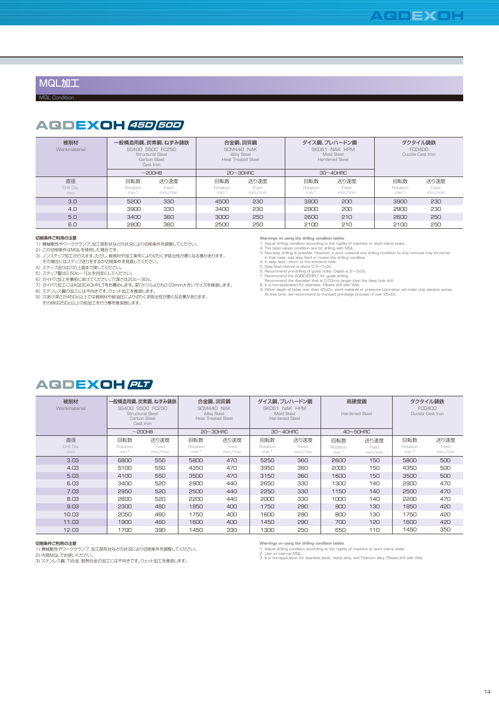#### MQL加工

MQL Condition

## **45D 50D AQDEXOH**

| 被削材<br>Workmaterial    | 一般構造用鋼、炭素鋼、ねずみ鋳鉄<br>SS400 S50C FC250<br>Structural Steel<br>Carbon Steel<br>Cast Iron |                        |                            | 合金鋼、調質鋼<br>SCM440 NAK<br>Alloy Steel<br>Heat Treated Steel |                            | ダイス鋼、プレハードン鋼<br>SKD61 NAK HPM<br>Mold Steel<br>Hardened Steel | ダクタイル鋳鉄<br><b>FCD400</b><br>Ductile Cast Iron |                        |  |
|------------------------|---------------------------------------------------------------------------------------|------------------------|----------------------------|------------------------------------------------------------|----------------------------|---------------------------------------------------------------|-----------------------------------------------|------------------------|--|
|                        |                                                                                       | $\sim$ 200HB           | $20 \sim 30$ HRC           |                                                            | $30 \sim 40$ HRC           |                                                               |                                               |                        |  |
| 直径<br>Drill Dia.<br>mm | 回転数<br>Rotation<br>$min-1$                                                            | 送り速度<br>Feed<br>mm/min | 回転数<br>Rotation<br>$min-1$ | 送り速度<br>Feed<br>mm/min                                     | 回転数<br>Rotation<br>$min-1$ | 送り速度<br>Feed<br>mm/min                                        | 回転数<br>Rotation<br>$min-1$                    | 送り速度<br>Feed<br>mm/min |  |
| 3.0                    | 5200                                                                                  | 330                    | 4500                       | 230                                                        | 3900                       | 200                                                           | 3900                                          | 230                    |  |
| 4.0                    | 3900                                                                                  | 330                    | 3400                       | 230                                                        | 2900                       | 200                                                           | 2900                                          | 230                    |  |
| 5.0                    | 3400                                                                                  | 360                    | 3000                       | 250                                                        | 2600                       | 210                                                           | 2600                                          | 250                    |  |
| 6.0                    | 2800                                                                                  | 360                    | 2500                       | 250                                                        | 2100                       | 210                                                           | 2100                                          | 250                    |  |

- 
- **切削条件ご利用の注意**<br>1)機械剛性やワーク<br>2)この切削条件はMC<br>3)ノンステップ加工が 機械剛性やワーククランフ、加工部形状などの状況により切削条件を調整してください。<br>この切削条件はMQLを使用した場合です。<br>ノンステップ加工が行えます。ただし、被削材や加工条件により切りくず排出性が悪くなる事があります。<br>その場合にはステップ送りをするか切削条件を見直してください。<br>ステップ送りは穴の上面まで戻してください。<br>ステップ量は0.5Dc〜1Dcを目安にしてください。<br>ガイド穴加工にはAQDEXOHPLTをお薦めします。深穴ド
- 
- 
- 4) 5) 6) 7)
- 
- 
- 8) ステンレス鋼の加工には不向きです。ウェット加工を推奨します。<br>9) 穴あけ深さが45Dc以上では被削材や給油圧により切りくず排出性が悪くなる事があります。
- その時は25Dc以上の前加工を行う事を推奨致します。

**Warnings on using the drilling condition tables**

- 
- 1. 2. 3.
- 
- 
- 4. 5. 6. 7.
- 
- 
- 8. 9. Adjust drilling condition according to the rigidity of machine or work clamp state.<br>The table values condition are for drilling with MQL.<br>Non-step drilling is possible. However, a work material and drilling condition to ch

## **AQDEXOH PLT**

| 被削材<br>Workmaterial    | 一般構造用鋼、炭素鋼、ねずみ鋳鉄<br>SS400 S50C FC250<br>Structural Steel<br>Carbon Steel<br>Cast Iron |                        | 合金鋼、調質鋼<br>SCM440 NAK<br>Alloy Steel<br><b>Heat Treated Steel</b> |                        |                            |                        | ダイス鋼、プレハードン鋼<br>SKD61 NAK HPM<br>Mold Steel<br><b>Hardened Steel</b> |                        | 高硬度鋼<br><b>Hardened Steel</b> | ダクタイル鋳鉄<br>FCD400<br>Ductile Cast Iron |  |
|------------------------|---------------------------------------------------------------------------------------|------------------------|-------------------------------------------------------------------|------------------------|----------------------------|------------------------|----------------------------------------------------------------------|------------------------|-------------------------------|----------------------------------------|--|
|                        |                                                                                       | $\sim$ 200HB           | $20 \sim 30$ HRC                                                  |                        | $30 \sim 40$ HRC           |                        | $40\nthicksim50$ HRC                                                 |                        |                               |                                        |  |
| 直径<br>Drill Dia.<br>mm | 回転数<br>Rotation<br>$min-1$                                                            | 送り速度<br>Feed<br>mm/min | 回転数<br>Rotation<br>min-1                                          | 送り速度<br>Feed<br>mm/min | 回転数<br>Rotation<br>$min-1$ | 送り速度<br>Feed<br>mm/min | 回転数<br>Rotation<br>$min-1$                                           | 送り速度<br>Feed<br>mm/min | 回転数<br>Rotation<br>min-1      | 送り速度<br>Feed<br>mm/min                 |  |
| 3.03                   | 6800                                                                                  | 550                    | 5800                                                              | 470                    | 5250                       | 360                    | 2600                                                                 | 150                    | 5800                          | 500                                    |  |
| 4.03                   | 5100                                                                                  | 550                    | 4350                                                              | 470                    | 3950                       | 360                    | 2000                                                                 | 150                    | 4350                          | 500                                    |  |
| 5.03                   | 4100                                                                                  | 550                    | 3500                                                              | 470                    | 3150                       | 360                    | 1600                                                                 | 150                    | 3500                          | 500                                    |  |
| 6.03                   | 3400                                                                                  | 520                    | 2900                                                              | 440                    | 2650                       | 330                    | 1300                                                                 | 140                    | 2900                          | 470                                    |  |
| 7.03                   | 2950                                                                                  | 520                    | 2500                                                              | 440                    | 2250                       | 330                    | 1150                                                                 | 140                    | 2500                          | 470                                    |  |
| 8.03                   | 2600                                                                                  | 520                    | 2200                                                              | 440                    | 2000                       | 330                    | 1000                                                                 | 140                    | 2200                          | 470                                    |  |
| 9.03                   | 2300                                                                                  | 460                    | 1950                                                              | 400                    | 1750                       | 290                    | 900                                                                  | 130                    | 1950                          | 420                                    |  |
| 10.03                  | 2050                                                                                  | 460                    | 1750                                                              | 400                    | 1600                       | 290                    | 800                                                                  | 130                    | 1750                          | 420                                    |  |
| 11.03                  | 1900                                                                                  | 460                    | 1600                                                              | 400                    | 1450                       | 290                    | 700                                                                  | 120                    | 1600                          | 420                                    |  |
| 12.03                  | 1700                                                                                  | 390                    | 1450                                                              | 330                    | 1300                       | 250                    | 650                                                                  | 110                    | 1450                          | 350                                    |  |

#### 切削条件ご利用の注意

1) 機械剛性やワーククランプ、加工部形状などの状況により切削条件を調整してください。<br>2) 内部MQLでお使いください。<br>3) ステンレス鋼、Ti合金、耐熱合金の加工には不向きです。ウェット加工を推奨します。

Warnings on using the drilling condition tables<br>1. Adjust drilling condition according to the rigidity of machine or work clamp state.<br>2. Use on internal MGL.<br>3. It is nor-application for stainless steel, nickel alloy, and